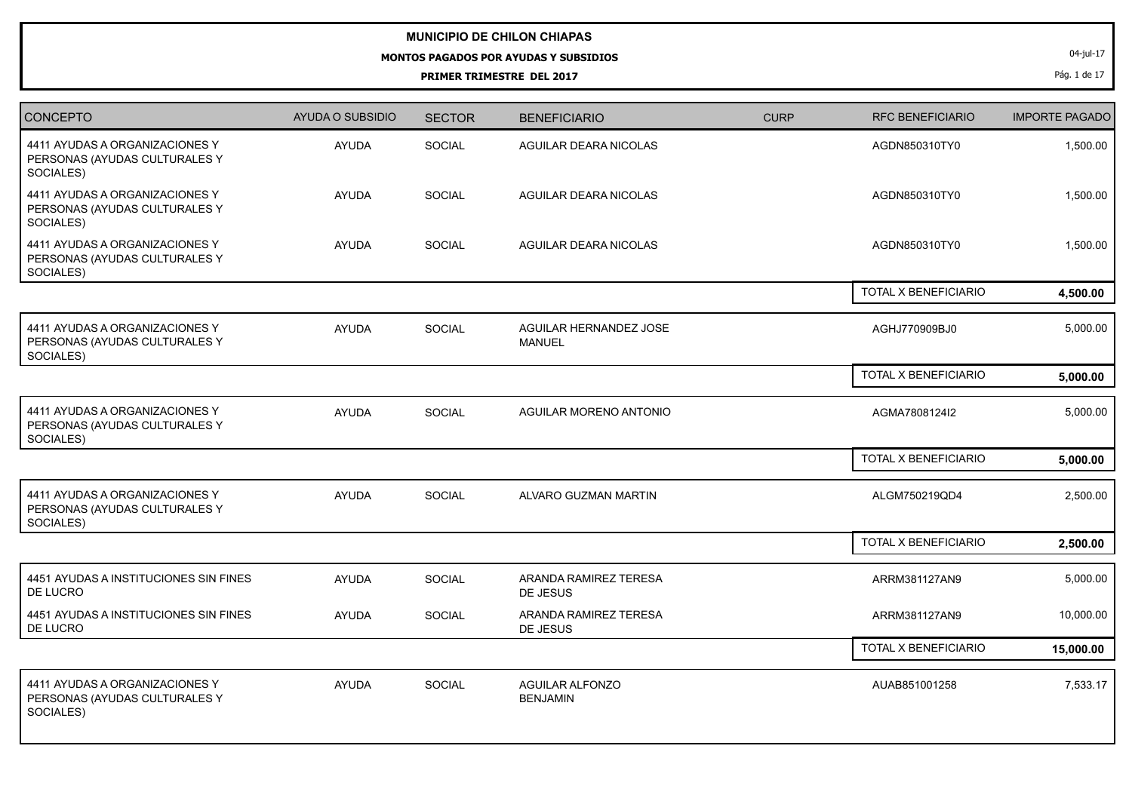## **MUNICIPIO DE CHILON CHIAPAS**

## **MONTOS PAGADOS POR AYUDAS Y SUBSIDIOS**

**PRIMER TRIMESTRE DEL 2017**

04-jul-17

Pág. 1 de 17

| <b>CONCEPTO</b>                                                              | AYUDA O SUBSIDIO | <b>SECTOR</b> | <b>BENEFICIARIO</b>                       | <b>CURP</b> | <b>RFC BENEFICIARIO</b> | <b>IMPORTE PAGADO</b> |
|------------------------------------------------------------------------------|------------------|---------------|-------------------------------------------|-------------|-------------------------|-----------------------|
| 4411 AYUDAS A ORGANIZACIONES Y<br>PERSONAS (AYUDAS CULTURALES Y<br>SOCIALES) | <b>AYUDA</b>     | SOCIAL        | <b>AGUILAR DEARA NICOLAS</b>              |             | AGDN850310TY0           | 1,500.00              |
| 4411 AYUDAS A ORGANIZACIONES Y<br>PERSONAS (AYUDAS CULTURALES Y<br>SOCIALES) | <b>AYUDA</b>     | SOCIAL        | AGUILAR DEARA NICOLAS                     |             | AGDN850310TY0           | 1,500.00              |
| 4411 AYUDAS A ORGANIZACIONES Y<br>PERSONAS (AYUDAS CULTURALES Y<br>SOCIALES) | <b>AYUDA</b>     | SOCIAL        | AGUILAR DEARA NICOLAS                     |             | AGDN850310TY0           | 1,500.00              |
|                                                                              |                  |               |                                           |             | TOTAL X BENEFICIARIO    | 4,500.00              |
| 4411 AYUDAS A ORGANIZACIONES Y<br>PERSONAS (AYUDAS CULTURALES Y<br>SOCIALES) | <b>AYUDA</b>     | SOCIAL        | AGUILAR HERNANDEZ JOSE<br><b>MANUEL</b>   |             | AGHJ770909BJ0           | 5,000.00              |
|                                                                              |                  |               |                                           |             | TOTAL X BENEFICIARIO    | 5,000.00              |
| 4411 AYUDAS A ORGANIZACIONES Y<br>PERSONAS (AYUDAS CULTURALES Y<br>SOCIALES) | <b>AYUDA</b>     | SOCIAL        | AGUILAR MORENO ANTONIO                    |             | AGMA7808124I2           | 5,000.00              |
|                                                                              |                  |               |                                           |             | TOTAL X BENEFICIARIO    | 5,000.00              |
| 4411 AYUDAS A ORGANIZACIONES Y<br>PERSONAS (AYUDAS CULTURALES Y<br>SOCIALES) | <b>AYUDA</b>     | SOCIAL        | ALVARO GUZMAN MARTIN                      |             | ALGM750219QD4           | 2,500.00              |
|                                                                              |                  |               |                                           |             | TOTAL X BENEFICIARIO    | 2,500.00              |
| 4451 AYUDAS A INSTITUCIONES SIN FINES<br>DE LUCRO                            | <b>AYUDA</b>     | <b>SOCIAL</b> | ARANDA RAMIREZ TERESA<br>DE JESUS         |             | ARRM381127AN9           | 5,000.00              |
| 4451 AYUDAS A INSTITUCIONES SIN FINES<br>DE LUCRO                            | <b>AYUDA</b>     | SOCIAL        | ARANDA RAMIREZ TERESA<br>DE JESUS         |             | ARRM381127AN9           | 10,000.00             |
|                                                                              |                  |               |                                           |             | TOTAL X BENEFICIARIO    | 15,000.00             |
| 4411 AYUDAS A ORGANIZACIONES Y<br>PERSONAS (AYUDAS CULTURALES Y<br>SOCIALES) | <b>AYUDA</b>     | SOCIAL        | <b>AGUILAR ALFONZO</b><br><b>BENJAMIN</b> |             | AUAB851001258           | 7,533.17              |
|                                                                              |                  |               |                                           |             |                         |                       |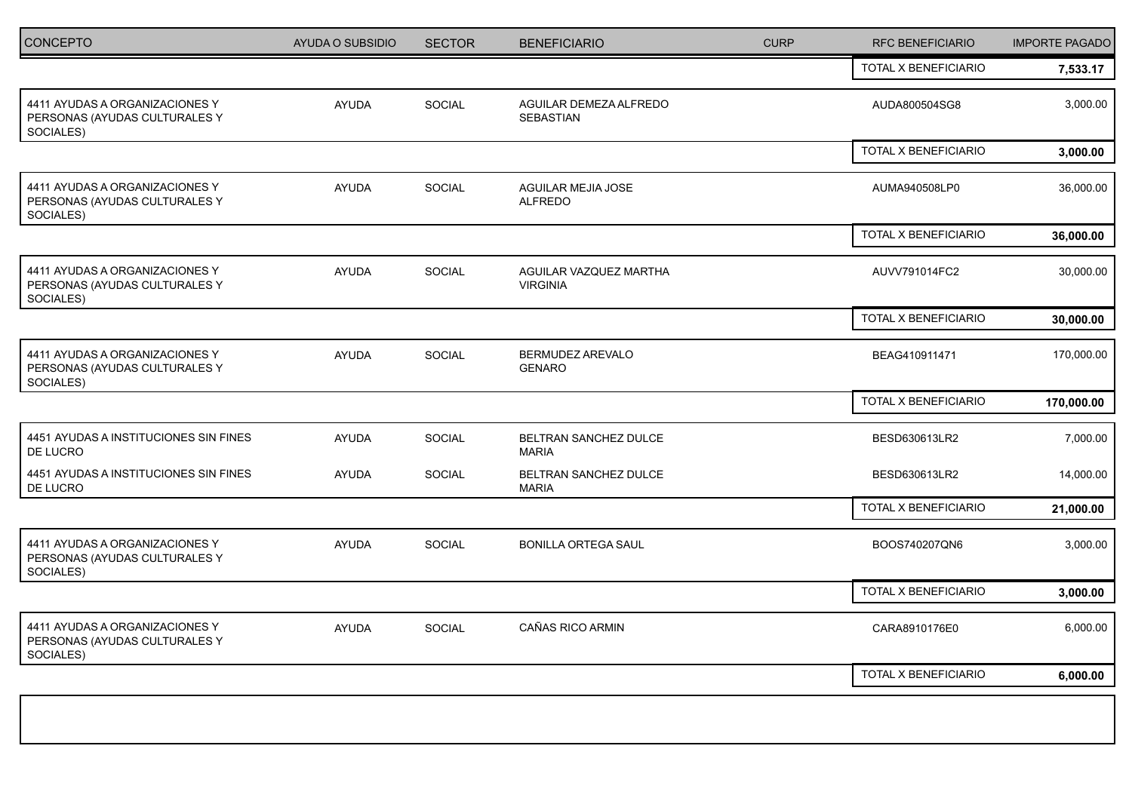| <b>CONCEPTO</b>                                                              | AYUDA O SUBSIDIO | <b>SECTOR</b> | <b>BENEFICIARIO</b>                       | <b>CURP</b> | <b>RFC BENEFICIARIO</b> | <b>IMPORTE PAGADO</b> |
|------------------------------------------------------------------------------|------------------|---------------|-------------------------------------------|-------------|-------------------------|-----------------------|
|                                                                              |                  |               |                                           |             | TOTAL X BENEFICIARIO    | 7,533.17              |
| 4411 AYUDAS A ORGANIZACIONES Y<br>PERSONAS (AYUDAS CULTURALES Y<br>SOCIALES) | <b>AYUDA</b>     | SOCIAL        | AGUILAR DEMEZA ALFREDO<br>SEBASTIAN       |             | AUDA800504SG8           | 3,000.00              |
|                                                                              |                  |               |                                           |             | TOTAL X BENEFICIARIO    | 3,000.00              |
| 4411 AYUDAS A ORGANIZACIONES Y<br>PERSONAS (AYUDAS CULTURALES Y<br>SOCIALES) | AYUDA            | <b>SOCIAL</b> | AGUILAR MEJIA JOSE<br><b>ALFREDO</b>      |             | AUMA940508LP0           | 36,000.00             |
|                                                                              |                  |               |                                           |             | TOTAL X BENEFICIARIO    | 36,000.00             |
| 4411 AYUDAS A ORGANIZACIONES Y<br>PERSONAS (AYUDAS CULTURALES Y<br>SOCIALES) | <b>AYUDA</b>     | SOCIAL        | AGUILAR VAZQUEZ MARTHA<br><b>VIRGINIA</b> |             | AUVV791014FC2           | 30,000.00             |
|                                                                              |                  |               |                                           |             | TOTAL X BENEFICIARIO    | 30,000.00             |
| 4411 AYUDAS A ORGANIZACIONES Y<br>PERSONAS (AYUDAS CULTURALES Y<br>SOCIALES) | <b>AYUDA</b>     | SOCIAL        | BERMUDEZ AREVALO<br><b>GENARO</b>         |             | BEAG410911471           | 170,000.00            |
|                                                                              |                  |               |                                           |             | TOTAL X BENEFICIARIO    | 170,000.00            |
| 4451 AYUDAS A INSTITUCIONES SIN FINES<br>DE LUCRO                            | <b>AYUDA</b>     | <b>SOCIAL</b> | BELTRAN SANCHEZ DULCE<br><b>MARIA</b>     |             | BESD630613LR2           | 7,000.00              |
| 4451 AYUDAS A INSTITUCIONES SIN FINES<br>DE LUCRO                            | AYUDA            | SOCIAL        | BELTRAN SANCHEZ DULCE<br><b>MARIA</b>     |             | BESD630613LR2           | 14,000.00             |
|                                                                              |                  |               |                                           |             | TOTAL X BENEFICIARIO    | 21,000.00             |
| 4411 AYUDAS A ORGANIZACIONES Y<br>PERSONAS (AYUDAS CULTURALES Y<br>SOCIALES) | <b>AYUDA</b>     | SOCIAL        | <b>BONILLA ORTEGA SAUL</b>                |             | BOOS740207QN6           | 3,000.00              |
|                                                                              |                  |               |                                           |             | TOTAL X BENEFICIARIO    | 3,000.00              |
| 4411 AYUDAS A ORGANIZACIONES Y<br>PERSONAS (AYUDAS CULTURALES Y<br>SOCIALES) | AYUDA            | <b>SOCIAL</b> | CAÑAS RICO ARMIN                          |             | CARA8910176E0           | 6,000.00              |
|                                                                              |                  |               |                                           |             | TOTAL X BENEFICIARIO    | 6,000.00              |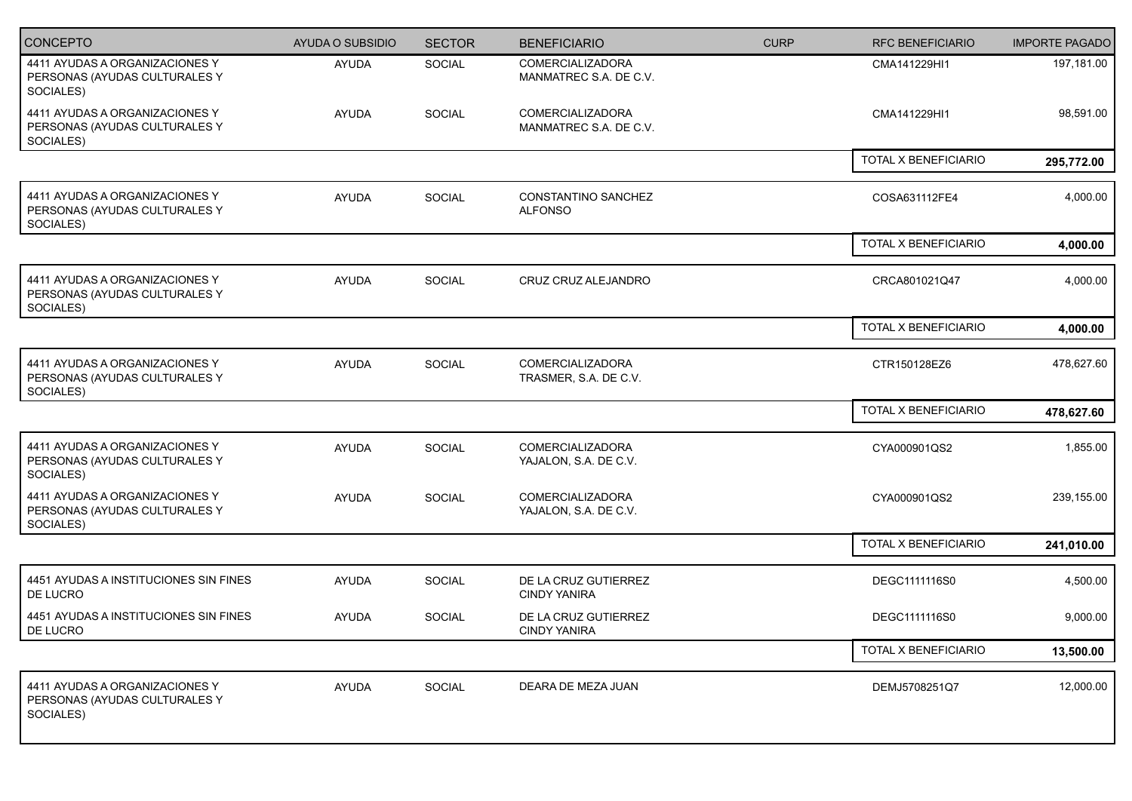| <b>CONCEPTO</b>                                                              | AYUDA O SUBSIDIO | <b>SECTOR</b> | <b>BENEFICIARIO</b>                               | <b>CURP</b> | <b>RFC BENEFICIARIO</b> | <b>IMPORTE PAGADO</b> |
|------------------------------------------------------------------------------|------------------|---------------|---------------------------------------------------|-------------|-------------------------|-----------------------|
| 4411 AYUDAS A ORGANIZACIONES Y<br>PERSONAS (AYUDAS CULTURALES Y<br>SOCIALES) | <b>AYUDA</b>     | SOCIAL        | <b>COMERCIALIZADORA</b><br>MANMATREC S.A. DE C.V. |             | CMA141229HI1            | 197,181.00            |
| 4411 AYUDAS A ORGANIZACIONES Y<br>PERSONAS (AYUDAS CULTURALES Y<br>SOCIALES) | <b>AYUDA</b>     | SOCIAL        | <b>COMERCIALIZADORA</b><br>MANMATREC S.A. DE C.V. |             | CMA141229HI1            | 98,591.00             |
|                                                                              |                  |               |                                                   |             | TOTAL X BENEFICIARIO    | 295,772.00            |
| 4411 AYUDAS A ORGANIZACIONES Y<br>PERSONAS (AYUDAS CULTURALES Y<br>SOCIALES) | <b>AYUDA</b>     | SOCIAL        | CONSTANTINO SANCHEZ<br><b>ALFONSO</b>             |             | COSA631112FE4           | 4,000.00              |
|                                                                              |                  |               |                                                   |             | TOTAL X BENEFICIARIO    | 4,000.00              |
| 4411 AYUDAS A ORGANIZACIONES Y<br>PERSONAS (AYUDAS CULTURALES Y<br>SOCIALES) | <b>AYUDA</b>     | SOCIAL        | CRUZ CRUZ ALEJANDRO                               |             | CRCA801021Q47           | 4,000.00              |
|                                                                              |                  |               |                                                   |             | TOTAL X BENEFICIARIO    | 4,000.00              |
| 4411 AYUDAS A ORGANIZACIONES Y<br>PERSONAS (AYUDAS CULTURALES Y<br>SOCIALES) | <b>AYUDA</b>     | SOCIAL        | <b>COMERCIALIZADORA</b><br>TRASMER, S.A. DE C.V.  |             | CTR150128EZ6            | 478,627.60            |
|                                                                              |                  |               |                                                   |             | TOTAL X BENEFICIARIO    | 478,627.60            |
| 4411 AYUDAS A ORGANIZACIONES Y<br>PERSONAS (AYUDAS CULTURALES Y<br>SOCIALES) | <b>AYUDA</b>     | SOCIAL        | <b>COMERCIALIZADORA</b><br>YAJALON, S.A. DE C.V.  |             | CYA000901QS2            | 1,855.00              |
| 4411 AYUDAS A ORGANIZACIONES Y<br>PERSONAS (AYUDAS CULTURALES Y<br>SOCIALES) | <b>AYUDA</b>     | SOCIAL        | <b>COMERCIALIZADORA</b><br>YAJALON, S.A. DE C.V.  |             | CYA000901QS2            | 239,155.00            |
|                                                                              |                  |               |                                                   |             | TOTAL X BENEFICIARIO    | 241,010.00            |
| 4451 AYUDAS A INSTITUCIONES SIN FINES<br>DE LUCRO                            | <b>AYUDA</b>     | SOCIAL        | DE LA CRUZ GUTIERREZ<br><b>CINDY YANIRA</b>       |             | DEGC1111116S0           | 4,500.00              |
| 4451 AYUDAS A INSTITUCIONES SIN FINES<br>DE LUCRO                            | AYUDA            | <b>SOCIAL</b> | DE LA CRUZ GUTIERREZ<br><b>CINDY YANIRA</b>       |             | DEGC1111116S0           | 9,000.00              |
|                                                                              |                  |               |                                                   |             | TOTAL X BENEFICIARIO    | 13,500.00             |
| 4411 AYUDAS A ORGANIZACIONES Y<br>PERSONAS (AYUDAS CULTURALES Y<br>SOCIALES) | AYUDA            | SOCIAL        | DEARA DE MEZA JUAN                                |             | DEMJ5708251Q7           | 12,000.00             |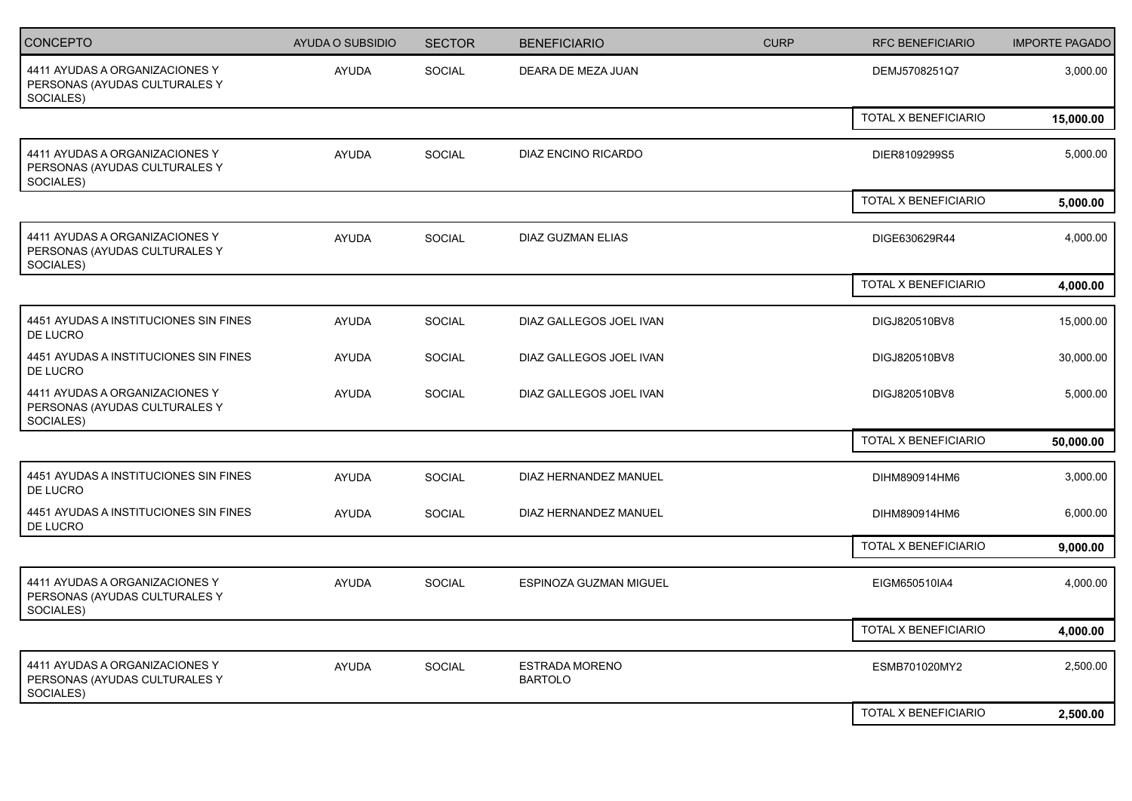| <b>CONCEPTO</b>                                                              | <b>AYUDA O SUBSIDIO</b> | <b>SECTOR</b> | <b>BENEFICIARIO</b>                     | <b>CURP</b> | <b>RFC BENEFICIARIO</b> | <b>IMPORTE PAGADO</b> |
|------------------------------------------------------------------------------|-------------------------|---------------|-----------------------------------------|-------------|-------------------------|-----------------------|
| 4411 AYUDAS A ORGANIZACIONES Y<br>PERSONAS (AYUDAS CULTURALES Y<br>SOCIALES) | <b>AYUDA</b>            | SOCIAL        | DEARA DE MEZA JUAN                      |             | DEMJ5708251Q7           | 3,000.00              |
|                                                                              |                         |               |                                         |             | TOTAL X BENEFICIARIO    | 15,000.00             |
| 4411 AYUDAS A ORGANIZACIONES Y<br>PERSONAS (AYUDAS CULTURALES Y<br>SOCIALES) | <b>AYUDA</b>            | <b>SOCIAL</b> | DIAZ ENCINO RICARDO                     |             | DIER8109299S5           | 5,000.00              |
|                                                                              |                         |               |                                         |             | TOTAL X BENEFICIARIO    | 5,000.00              |
| 4411 AYUDAS A ORGANIZACIONES Y<br>PERSONAS (AYUDAS CULTURALES Y<br>SOCIALES) | AYUDA                   | <b>SOCIAL</b> | <b>DIAZ GUZMAN ELIAS</b>                |             | DIGE630629R44           | 4,000.00              |
|                                                                              |                         |               |                                         |             | TOTAL X BENEFICIARIO    | 4,000.00              |
| 4451 AYUDAS A INSTITUCIONES SIN FINES<br>DE LUCRO                            | <b>AYUDA</b>            | <b>SOCIAL</b> | DIAZ GALLEGOS JOEL IVAN                 |             | DIGJ820510BV8           | 15,000.00             |
| 4451 AYUDAS A INSTITUCIONES SIN FINES<br>DE LUCRO                            | <b>AYUDA</b>            | SOCIAL        | DIAZ GALLEGOS JOEL IVAN                 |             | DIGJ820510BV8           | 30,000.00             |
| 4411 AYUDAS A ORGANIZACIONES Y<br>PERSONAS (AYUDAS CULTURALES Y<br>SOCIALES) | <b>AYUDA</b>            | <b>SOCIAL</b> | DIAZ GALLEGOS JOEL IVAN                 |             | DIGJ820510BV8           | 5,000.00              |
|                                                                              |                         |               |                                         |             | TOTAL X BENEFICIARIO    | 50,000.00             |
| 4451 AYUDAS A INSTITUCIONES SIN FINES<br>DE LUCRO                            | <b>AYUDA</b>            | SOCIAL        | DIAZ HERNANDEZ MANUEL                   |             | DIHM890914HM6           | 3,000.00              |
| 4451 AYUDAS A INSTITUCIONES SIN FINES<br>DE LUCRO                            | <b>AYUDA</b>            | SOCIAL        | DIAZ HERNANDEZ MANUEL                   |             | DIHM890914HM6           | 6,000.00              |
|                                                                              |                         |               |                                         |             | TOTAL X BENEFICIARIO    | 9,000.00              |
| 4411 AYUDAS A ORGANIZACIONES Y<br>PERSONAS (AYUDAS CULTURALES Y<br>SOCIALES) | <b>AYUDA</b>            | <b>SOCIAL</b> | ESPINOZA GUZMAN MIGUEL                  |             | EIGM650510IA4           | 4,000.00              |
|                                                                              |                         |               |                                         |             | TOTAL X BENEFICIARIO    | 4,000.00              |
| 4411 AYUDAS A ORGANIZACIONES Y<br>PERSONAS (AYUDAS CULTURALES Y<br>SOCIALES) | <b>AYUDA</b>            | <b>SOCIAL</b> | <b>ESTRADA MORENO</b><br><b>BARTOLO</b> |             | ESMB701020MY2           | 2,500.00              |
|                                                                              |                         |               |                                         |             | TOTAL X BENEFICIARIO    | 2,500.00              |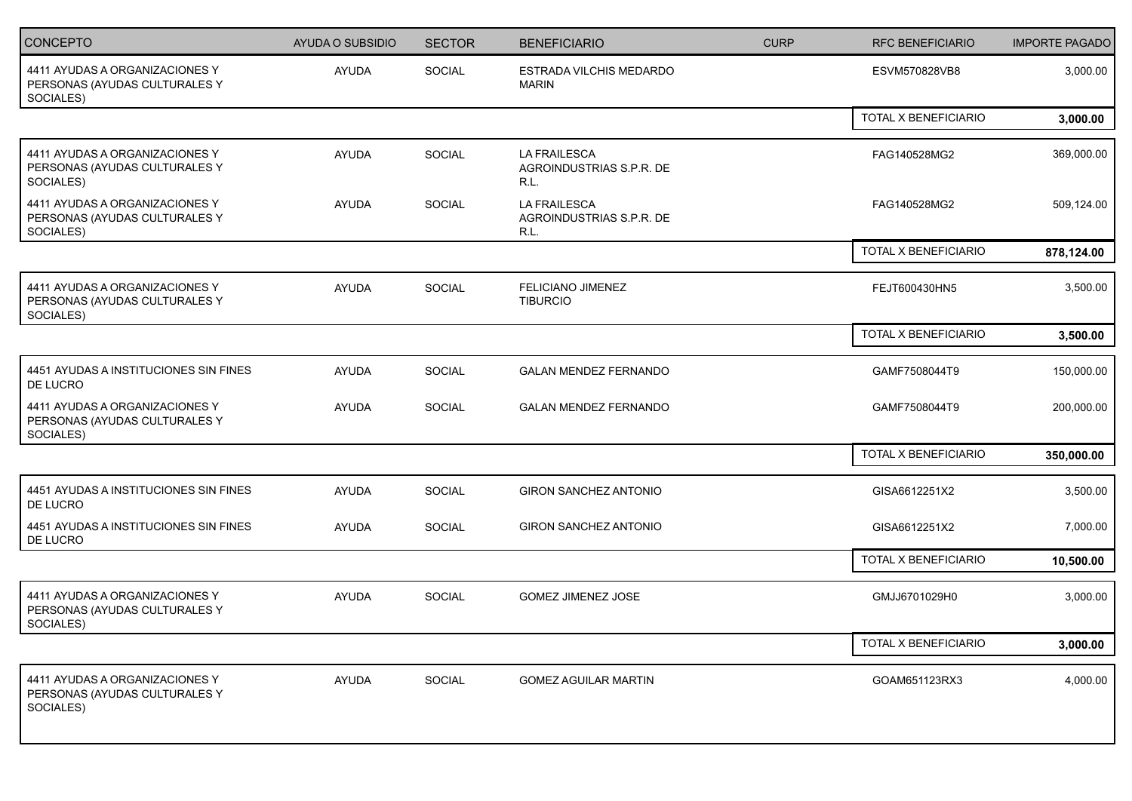| CONCEPTO                                                                     | AYUDA O SUBSIDIO | <b>SECTOR</b> | <b>BENEFICIARIO</b>                                     | <b>CURP</b> | <b>RFC BENEFICIARIO</b> | <b>IMPORTE PAGADO</b> |
|------------------------------------------------------------------------------|------------------|---------------|---------------------------------------------------------|-------------|-------------------------|-----------------------|
| 4411 AYUDAS A ORGANIZACIONES Y<br>PERSONAS (AYUDAS CULTURALES Y<br>SOCIALES) | <b>AYUDA</b>     | SOCIAL        | ESTRADA VILCHIS MEDARDO<br><b>MARIN</b>                 |             | ESVM570828VB8           | 3,000.00              |
|                                                                              |                  |               |                                                         |             | TOTAL X BENEFICIARIO    | 3,000.00              |
| 4411 AYUDAS A ORGANIZACIONES Y<br>PERSONAS (AYUDAS CULTURALES Y<br>SOCIALES) | <b>AYUDA</b>     | SOCIAL        | <b>LA FRAILESCA</b><br>AGROINDUSTRIAS S.P.R. DE<br>R.L. |             | FAG140528MG2            | 369,000.00            |
| 4411 AYUDAS A ORGANIZACIONES Y<br>PERSONAS (AYUDAS CULTURALES Y<br>SOCIALES) | <b>AYUDA</b>     | SOCIAL        | <b>LA FRAILESCA</b><br>AGROINDUSTRIAS S.P.R. DE<br>R.L. |             | FAG140528MG2            | 509,124.00            |
|                                                                              |                  |               |                                                         |             | TOTAL X BENEFICIARIO    | 878,124.00            |
| 4411 AYUDAS A ORGANIZACIONES Y<br>PERSONAS (AYUDAS CULTURALES Y<br>SOCIALES) | <b>AYUDA</b>     | SOCIAL        | <b>FELICIANO JIMENEZ</b><br><b>TIBURCIO</b>             |             | FEJT600430HN5           | 3,500.00              |
|                                                                              |                  |               |                                                         |             | TOTAL X BENEFICIARIO    | 3,500.00              |
| 4451 AYUDAS A INSTITUCIONES SIN FINES<br>DE LUCRO                            | <b>AYUDA</b>     | SOCIAL        | <b>GALAN MENDEZ FERNANDO</b>                            |             | GAMF7508044T9           | 150,000.00            |
| 4411 AYUDAS A ORGANIZACIONES Y<br>PERSONAS (AYUDAS CULTURALES Y<br>SOCIALES) | <b>AYUDA</b>     | <b>SOCIAL</b> | <b>GALAN MENDEZ FERNANDO</b>                            |             | GAMF7508044T9           | 200,000.00            |
|                                                                              |                  |               |                                                         |             | TOTAL X BENEFICIARIO    | 350,000.00            |
| 4451 AYUDAS A INSTITUCIONES SIN FINES<br>DE LUCRO                            | <b>AYUDA</b>     | SOCIAL        | <b>GIRON SANCHEZ ANTONIO</b>                            |             | GISA6612251X2           | 3,500.00              |
| 4451 AYUDAS A INSTITUCIONES SIN FINES<br>DE LUCRO                            | <b>AYUDA</b>     | SOCIAL        | GIRON SANCHEZ ANTONIO                                   |             | GISA6612251X2           | 7,000.00              |
|                                                                              |                  |               |                                                         |             | TOTAL X BENEFICIARIO    | 10,500.00             |
| 4411 AYUDAS A ORGANIZACIONES Y<br>PERSONAS (AYUDAS CULTURALES Y<br>SOCIALES) | <b>AYUDA</b>     | <b>SOCIAL</b> | <b>GOMEZ JIMENEZ JOSE</b>                               |             | GMJJ6701029H0           | 3,000.00              |
|                                                                              |                  |               |                                                         |             | TOTAL X BENEFICIARIO    | 3,000.00              |
| 4411 AYUDAS A ORGANIZACIONES Y<br>PERSONAS (AYUDAS CULTURALES Y<br>SOCIALES) | AYUDA            | SOCIAL        | <b>GOMEZ AGUILAR MARTIN</b>                             |             | GOAM651123RX3           | 4,000.00              |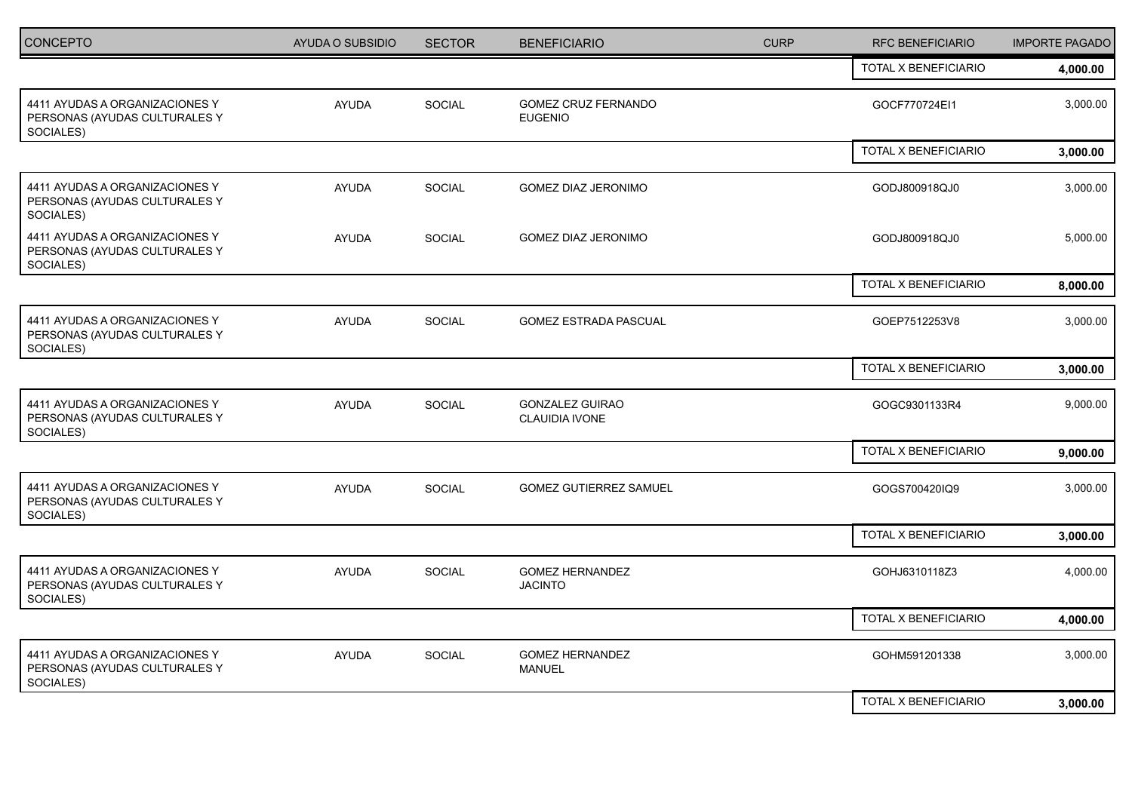| <b>CONCEPTO</b>                                                              | <b>AYUDA O SUBSIDIO</b> | <b>SECTOR</b> | <b>BENEFICIARIO</b>                      | <b>CURP</b> | <b>RFC BENEFICIARIO</b> | <b>IMPORTE PAGADO</b> |
|------------------------------------------------------------------------------|-------------------------|---------------|------------------------------------------|-------------|-------------------------|-----------------------|
|                                                                              |                         |               |                                          |             | TOTAL X BENEFICIARIO    | 4,000.00              |
| 4411 AYUDAS A ORGANIZACIONES Y<br>PERSONAS (AYUDAS CULTURALES Y<br>SOCIALES) | <b>AYUDA</b>            | SOCIAL        | GOMEZ CRUZ FERNANDO<br><b>EUGENIO</b>    |             | GOCF770724EI1           | 3,000.00              |
|                                                                              |                         |               |                                          |             | TOTAL X BENEFICIARIO    | 3,000.00              |
| 4411 AYUDAS A ORGANIZACIONES Y<br>PERSONAS (AYUDAS CULTURALES Y<br>SOCIALES) | <b>AYUDA</b>            | SOCIAL        | GOMEZ DIAZ JERONIMO                      |             | GODJ800918QJ0           | 3,000.00              |
| 4411 AYUDAS A ORGANIZACIONES Y<br>PERSONAS (AYUDAS CULTURALES Y<br>SOCIALES) | <b>AYUDA</b>            | SOCIAL        | GOMEZ DIAZ JERONIMO                      |             | GODJ800918QJ0           | 5,000.00              |
|                                                                              |                         |               |                                          |             | TOTAL X BENEFICIARIO    | 8,000.00              |
| 4411 AYUDAS A ORGANIZACIONES Y<br>PERSONAS (AYUDAS CULTURALES Y<br>SOCIALES) | <b>AYUDA</b>            | <b>SOCIAL</b> | <b>GOMEZ ESTRADA PASCUAL</b>             |             | GOEP7512253V8           | 3,000.00              |
|                                                                              |                         |               |                                          |             | TOTAL X BENEFICIARIO    | 3,000.00              |
| 4411 AYUDAS A ORGANIZACIONES Y<br>PERSONAS (AYUDAS CULTURALES Y<br>SOCIALES) | AYUDA                   | SOCIAL        | <b>GONZALEZ GUIRAO</b><br>CLAUIDIA IVONE |             | GOGC9301133R4           | 9,000.00              |
|                                                                              |                         |               |                                          |             | TOTAL X BENEFICIARIO    | 9,000.00              |
| 4411 AYUDAS A ORGANIZACIONES Y<br>PERSONAS (AYUDAS CULTURALES Y<br>SOCIALES) | <b>AYUDA</b>            | <b>SOCIAL</b> | <b>GOMEZ GUTIERREZ SAMUEL</b>            |             | GOGS700420IQ9           | 3,000.00              |
|                                                                              |                         |               |                                          |             | TOTAL X BENEFICIARIO    | 3,000.00              |
| 4411 AYUDAS A ORGANIZACIONES Y<br>PERSONAS (AYUDAS CULTURALES Y<br>SOCIALES) | <b>AYUDA</b>            | SOCIAL        | <b>GOMEZ HERNANDEZ</b><br><b>JACINTO</b> |             | GOHJ6310118Z3           | 4,000.00              |
|                                                                              |                         |               |                                          |             | TOTAL X BENEFICIARIO    | 4,000.00              |
| 4411 AYUDAS A ORGANIZACIONES Y<br>PERSONAS (AYUDAS CULTURALES Y<br>SOCIALES) | <b>AYUDA</b>            | SOCIAL        | <b>GOMEZ HERNANDEZ</b><br><b>MANUEL</b>  |             | GOHM591201338           | 3,000.00              |
|                                                                              |                         |               |                                          |             | TOTAL X BENEFICIARIO    | 3,000.00              |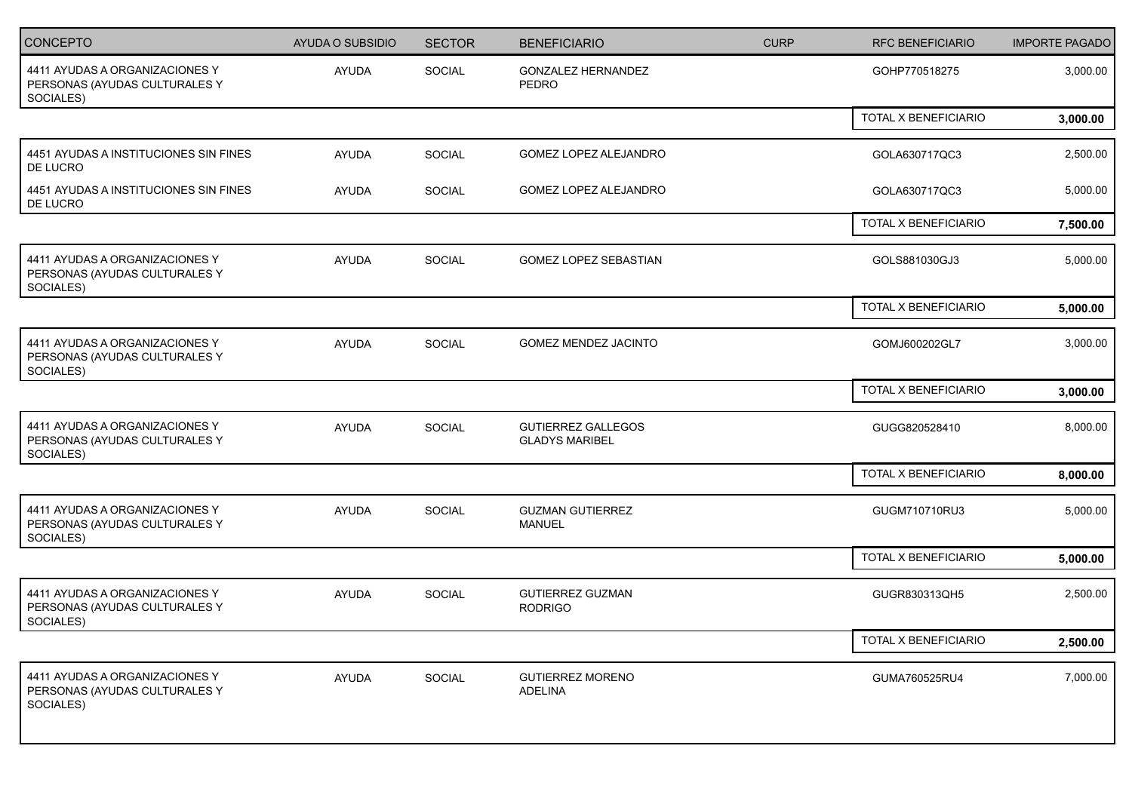| <b>CONCEPTO</b>                                                              | <b>AYUDA O SUBSIDIO</b> | <b>SECTOR</b> | <b>BENEFICIARIO</b>                                | <b>CURP</b> | <b>RFC BENEFICIARIO</b> | <b>IMPORTE PAGADO</b> |
|------------------------------------------------------------------------------|-------------------------|---------------|----------------------------------------------------|-------------|-------------------------|-----------------------|
| 4411 AYUDAS A ORGANIZACIONES Y<br>PERSONAS (AYUDAS CULTURALES Y<br>SOCIALES) | <b>AYUDA</b>            | SOCIAL        | <b>GONZALEZ HERNANDEZ</b><br>PEDRO                 |             | GOHP770518275           | 3,000.00              |
|                                                                              |                         |               |                                                    |             | TOTAL X BENEFICIARIO    | 3,000.00              |
| 4451 AYUDAS A INSTITUCIONES SIN FINES<br>DE LUCRO                            | AYUDA                   | SOCIAL        | GOMEZ LOPEZ ALEJANDRO                              |             | GOLA630717QC3           | 2,500.00              |
| 4451 AYUDAS A INSTITUCIONES SIN FINES<br>DE LUCRO                            | AYUDA                   | SOCIAL        | GOMEZ LOPEZ ALEJANDRO                              |             | GOLA630717QC3           | 5,000.00              |
|                                                                              |                         |               |                                                    |             | TOTAL X BENEFICIARIO    | 7,500.00              |
| 4411 AYUDAS A ORGANIZACIONES Y<br>PERSONAS (AYUDAS CULTURALES Y<br>SOCIALES) | <b>AYUDA</b>            | <b>SOCIAL</b> | GOMEZ LOPEZ SEBASTIAN                              |             | GOLS881030GJ3           | 5,000.00              |
|                                                                              |                         |               |                                                    |             | TOTAL X BENEFICIARIO    | 5,000.00              |
| 4411 AYUDAS A ORGANIZACIONES Y<br>PERSONAS (AYUDAS CULTURALES Y<br>SOCIALES) | AYUDA                   | <b>SOCIAL</b> | <b>GOMEZ MENDEZ JACINTO</b>                        |             | GOMJ600202GL7           | 3,000.00              |
|                                                                              |                         |               |                                                    |             | TOTAL X BENEFICIARIO    | 3,000.00              |
| 4411 AYUDAS A ORGANIZACIONES Y<br>PERSONAS (AYUDAS CULTURALES Y<br>SOCIALES) | AYUDA                   | SOCIAL        | <b>GUTIERREZ GALLEGOS</b><br><b>GLADYS MARIBEL</b> |             | GUGG820528410           | 8,000.00              |
|                                                                              |                         |               |                                                    |             | TOTAL X BENEFICIARIO    | 8,000.00              |
| 4411 AYUDAS A ORGANIZACIONES Y<br>PERSONAS (AYUDAS CULTURALES Y<br>SOCIALES) | AYUDA                   | SOCIAL        | <b>GUZMAN GUTIERREZ</b><br><b>MANUEL</b>           |             | GUGM710710RU3           | 5,000.00              |
|                                                                              |                         |               |                                                    |             | TOTAL X BENEFICIARIO    | 5,000.00              |
| 4411 AYUDAS A ORGANIZACIONES Y<br>PERSONAS (AYUDAS CULTURALES Y<br>SOCIALES) | AYUDA                   | SOCIAL        | <b>GUTIERREZ GUZMAN</b><br><b>RODRIGO</b>          |             | GUGR830313QH5           | 2,500.00              |
|                                                                              |                         |               |                                                    |             | TOTAL X BENEFICIARIO    | 2,500.00              |
| 4411 AYUDAS A ORGANIZACIONES Y<br>PERSONAS (AYUDAS CULTURALES Y<br>SOCIALES) | <b>AYUDA</b>            | SOCIAL        | <b>GUTIERREZ MORENO</b><br>ADELINA                 |             | GUMA760525RU4           | 7,000.00              |
|                                                                              |                         |               |                                                    |             |                         |                       |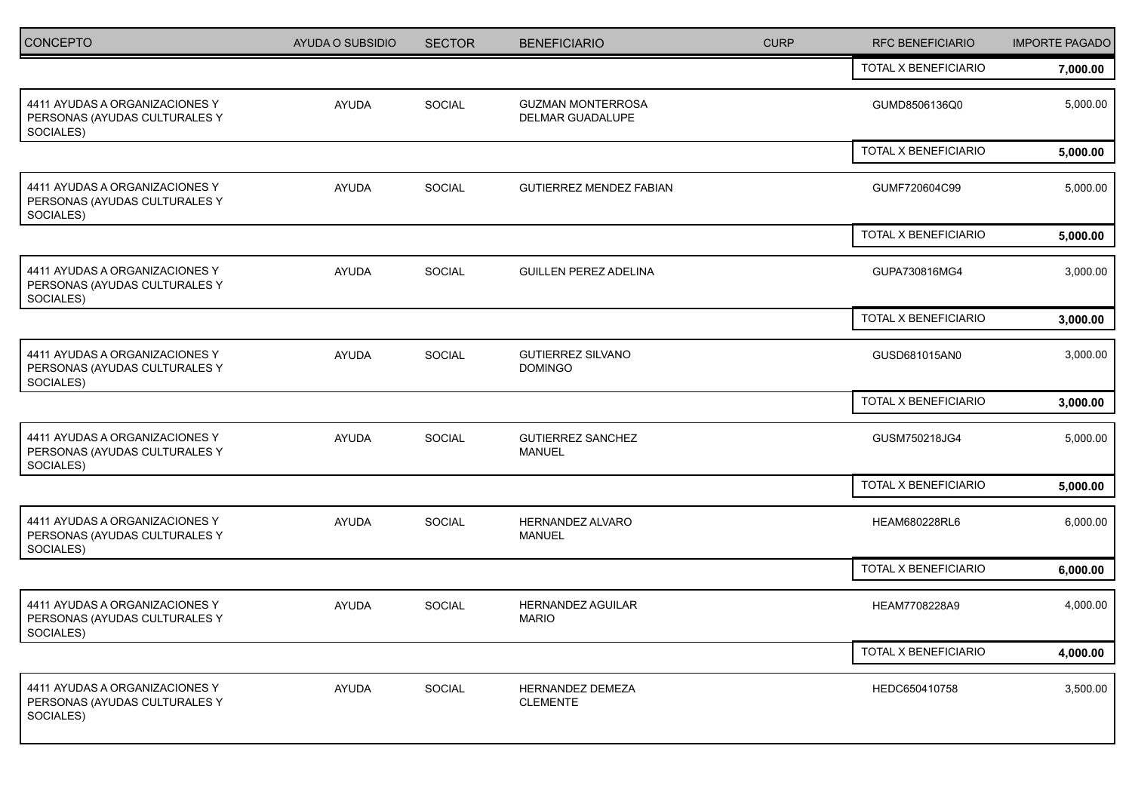| <b>CONCEPTO</b>                                                              | AYUDA O SUBSIDIO | <b>SECTOR</b> | <b>BENEFICIARIO</b>                          | <b>CURP</b> | <b>RFC BENEFICIARIO</b> | <b>IMPORTE PAGADO</b> |
|------------------------------------------------------------------------------|------------------|---------------|----------------------------------------------|-------------|-------------------------|-----------------------|
|                                                                              |                  |               |                                              |             | TOTAL X BENEFICIARIO    | 7,000.00              |
| 4411 AYUDAS A ORGANIZACIONES Y<br>PERSONAS (AYUDAS CULTURALES Y<br>SOCIALES) | <b>AYUDA</b>     | SOCIAL        | <b>GUZMAN MONTERROSA</b><br>DELMAR GUADALUPE |             | GUMD8506136Q0           | 5,000.00              |
|                                                                              |                  |               |                                              |             | TOTAL X BENEFICIARIO    | 5,000.00              |
| 4411 AYUDAS A ORGANIZACIONES Y<br>PERSONAS (AYUDAS CULTURALES Y<br>SOCIALES) | <b>AYUDA</b>     | SOCIAL        | <b>GUTIERREZ MENDEZ FABIAN</b>               |             | GUMF720604C99           | 5,000.00              |
|                                                                              |                  |               |                                              |             | TOTAL X BENEFICIARIO    | 5,000.00              |
| 4411 AYUDAS A ORGANIZACIONES Y<br>PERSONAS (AYUDAS CULTURALES Y<br>SOCIALES) | <b>AYUDA</b>     | SOCIAL        | <b>GUILLEN PEREZ ADELINA</b>                 |             | GUPA730816MG4           | 3,000.00              |
|                                                                              |                  |               |                                              |             | TOTAL X BENEFICIARIO    | 3,000.00              |
| 4411 AYUDAS A ORGANIZACIONES Y<br>PERSONAS (AYUDAS CULTURALES Y<br>SOCIALES) | <b>AYUDA</b>     | SOCIAL        | <b>GUTIERREZ SILVANO</b><br><b>DOMINGO</b>   |             | GUSD681015AN0           | 3,000.00              |
|                                                                              |                  |               |                                              |             | TOTAL X BENEFICIARIO    | 3,000.00              |
| 4411 AYUDAS A ORGANIZACIONES Y<br>PERSONAS (AYUDAS CULTURALES Y<br>SOCIALES) | <b>AYUDA</b>     | SOCIAL        | <b>GUTIERREZ SANCHEZ</b><br><b>MANUEL</b>    |             | GUSM750218JG4           | 5,000.00              |
|                                                                              |                  |               |                                              |             | TOTAL X BENEFICIARIO    | 5,000.00              |
| 4411 AYUDAS A ORGANIZACIONES Y<br>PERSONAS (AYUDAS CULTURALES Y<br>SOCIALES) | <b>AYUDA</b>     | SOCIAL        | HERNANDEZ ALVARO<br><b>MANUEL</b>            |             | HEAM680228RL6           | 6,000.00              |
|                                                                              |                  |               |                                              |             | TOTAL X BENEFICIARIO    | 6,000.00              |
| 4411 AYUDAS A ORGANIZACIONES Y<br>PERSONAS (AYUDAS CULTURALES Y<br>SOCIALES) | <b>AYUDA</b>     | SOCIAL        | HERNANDEZ AGUILAR<br><b>MARIO</b>            |             | HEAM7708228A9           | 4,000.00              |
|                                                                              |                  |               |                                              |             | TOTAL X BENEFICIARIO    | 4,000.00              |
| 4411 AYUDAS A ORGANIZACIONES Y<br>PERSONAS (AYUDAS CULTURALES Y<br>SOCIALES) | AYUDA            | SOCIAL        | <b>HERNANDEZ DEMEZA</b><br><b>CLEMENTE</b>   |             | HEDC650410758           | 3,500.00              |
|                                                                              |                  |               |                                              |             |                         |                       |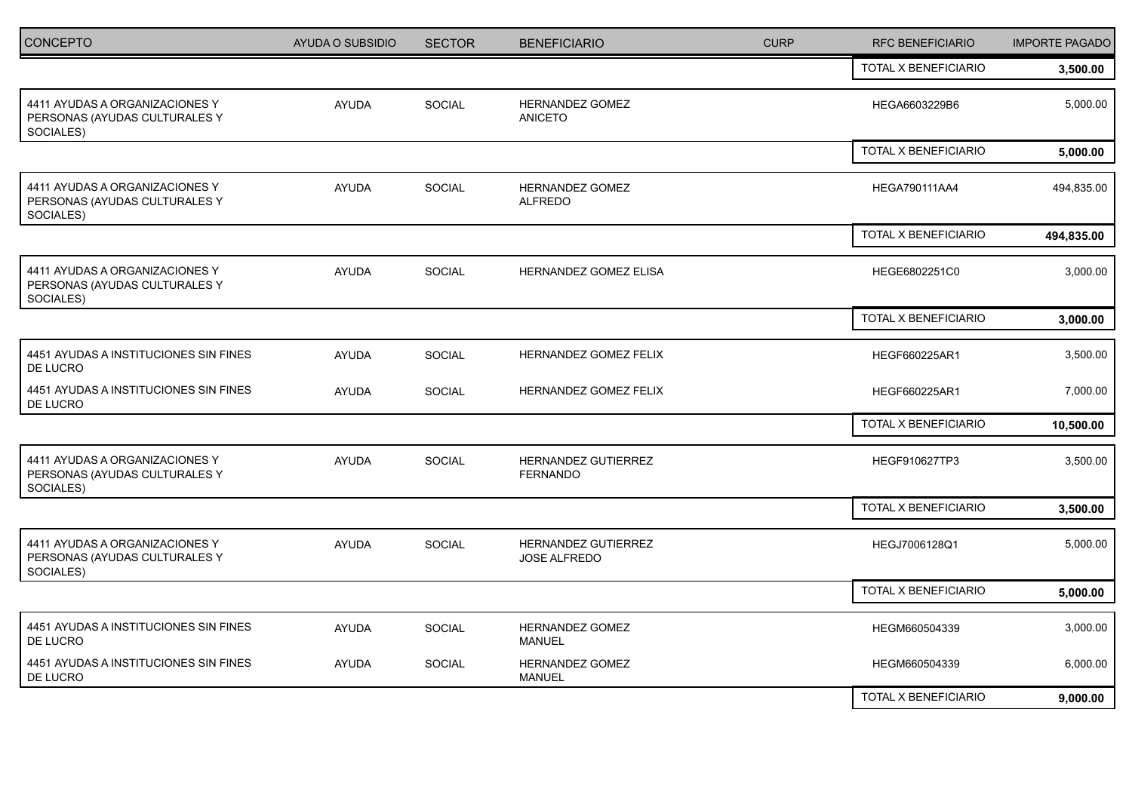| <b>CONCEPTO</b>                                                              | AYUDA O SUBSIDIO | <b>SECTOR</b> | <b>BENEFICIARIO</b>                               | <b>CURP</b> | <b>RFC BENEFICIARIO</b> | <b>IMPORTE PAGADO</b> |
|------------------------------------------------------------------------------|------------------|---------------|---------------------------------------------------|-------------|-------------------------|-----------------------|
|                                                                              |                  |               |                                                   |             | TOTAL X BENEFICIARIO    | 3,500.00              |
| 4411 AYUDAS A ORGANIZACIONES Y<br>PERSONAS (AYUDAS CULTURALES Y<br>SOCIALES) | <b>AYUDA</b>     | SOCIAL        | <b>HERNANDEZ GOMEZ</b><br><b>ANICETO</b>          |             | HEGA6603229B6           | 5,000.00              |
|                                                                              |                  |               |                                                   |             | TOTAL X BENEFICIARIO    | 5,000.00              |
| 4411 AYUDAS A ORGANIZACIONES Y<br>PERSONAS (AYUDAS CULTURALES Y<br>SOCIALES) | <b>AYUDA</b>     | <b>SOCIAL</b> | HERNANDEZ GOMEZ<br><b>ALFREDO</b>                 |             | <b>HEGA790111AA4</b>    | 494,835.00            |
|                                                                              |                  |               |                                                   |             | TOTAL X BENEFICIARIO    | 494,835.00            |
| 4411 AYUDAS A ORGANIZACIONES Y<br>PERSONAS (AYUDAS CULTURALES Y<br>SOCIALES) | <b>AYUDA</b>     | <b>SOCIAL</b> | HERNANDEZ GOMEZ ELISA                             |             | HEGE6802251C0           | 3,000.00              |
|                                                                              |                  |               |                                                   |             | TOTAL X BENEFICIARIO    | 3,000.00              |
| 4451 AYUDAS A INSTITUCIONES SIN FINES<br>DE LUCRO                            | <b>AYUDA</b>     | <b>SOCIAL</b> | HERNANDEZ GOMEZ FELIX                             |             | HEGF660225AR1           | 3,500.00              |
| 4451 AYUDAS A INSTITUCIONES SIN FINES<br>DE LUCRO                            | <b>AYUDA</b>     | <b>SOCIAL</b> | HERNANDEZ GOMEZ FELIX                             |             | HEGF660225AR1           | 7,000.00              |
|                                                                              |                  |               |                                                   |             | TOTAL X BENEFICIARIO    | 10,500.00             |
| 4411 AYUDAS A ORGANIZACIONES Y<br>PERSONAS (AYUDAS CULTURALES Y<br>SOCIALES) | AYUDA            | SOCIAL        | HERNANDEZ GUTIERREZ<br><b>FERNANDO</b>            |             | HEGF910627TP3           | 3,500.00              |
|                                                                              |                  |               |                                                   |             | TOTAL X BENEFICIARIO    | 3,500.00              |
| 4411 AYUDAS A ORGANIZACIONES Y<br>PERSONAS (AYUDAS CULTURALES Y<br>SOCIALES) | <b>AYUDA</b>     | <b>SOCIAL</b> | <b>HERNANDEZ GUTIERREZ</b><br><b>JOSE ALFREDO</b> |             | HEGJ7006128Q1           | 5,000.00              |
|                                                                              |                  |               |                                                   |             | TOTAL X BENEFICIARIO    | 5,000.00              |
| 4451 AYUDAS A INSTITUCIONES SIN FINES<br>DE LUCRO                            | <b>AYUDA</b>     | <b>SOCIAL</b> | HERNANDEZ GOMEZ<br><b>MANUEL</b>                  |             | HEGM660504339           | 3,000.00              |
| 4451 AYUDAS A INSTITUCIONES SIN FINES<br>DE LUCRO                            | <b>AYUDA</b>     | SOCIAL        | HERNANDEZ GOMEZ<br><b>MANUEL</b>                  |             | HEGM660504339           | 6,000.00              |
|                                                                              |                  |               |                                                   |             | TOTAL X BENEFICIARIO    | 9,000.00              |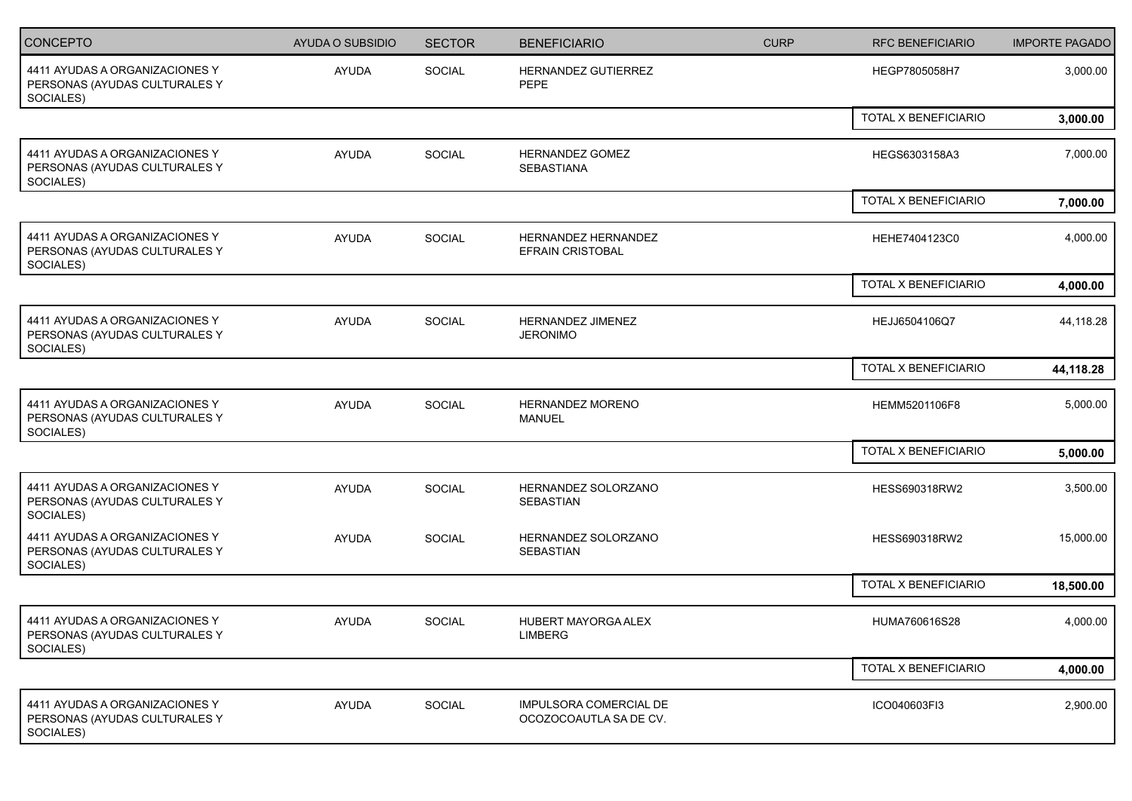| <b>CONCEPTO</b>                                                              | <b>AYUDA O SUBSIDIO</b> | <b>SECTOR</b> | <b>BENEFICIARIO</b>                              | <b>CURP</b> | <b>RFC BENEFICIARIO</b> | <b>IMPORTE PAGADO</b> |
|------------------------------------------------------------------------------|-------------------------|---------------|--------------------------------------------------|-------------|-------------------------|-----------------------|
| 4411 AYUDAS A ORGANIZACIONES Y<br>PERSONAS (AYUDAS CULTURALES Y<br>SOCIALES) | AYUDA                   | <b>SOCIAL</b> | HERNANDEZ GUTIERREZ<br>PEPE                      |             | HEGP7805058H7           | 3,000.00              |
|                                                                              |                         |               |                                                  |             | TOTAL X BENEFICIARIO    | 3,000.00              |
| 4411 AYUDAS A ORGANIZACIONES Y<br>PERSONAS (AYUDAS CULTURALES Y<br>SOCIALES) | <b>AYUDA</b>            | SOCIAL        | <b>HERNANDEZ GOMEZ</b><br><b>SEBASTIANA</b>      |             | HEGS6303158A3           | 7,000.00              |
|                                                                              |                         |               |                                                  |             | TOTAL X BENEFICIARIO    | 7,000.00              |
| 4411 AYUDAS A ORGANIZACIONES Y<br>PERSONAS (AYUDAS CULTURALES Y<br>SOCIALES) | <b>AYUDA</b>            | SOCIAL        | HERNANDEZ HERNANDEZ<br><b>EFRAIN CRISTOBAL</b>   |             | HEHE7404123C0           | 4,000.00              |
|                                                                              |                         |               |                                                  |             | TOTAL X BENEFICIARIO    | 4,000.00              |
| 4411 AYUDAS A ORGANIZACIONES Y<br>PERSONAS (AYUDAS CULTURALES Y<br>SOCIALES) | <b>AYUDA</b>            | SOCIAL        | <b>HERNANDEZ JIMENEZ</b><br><b>JERONIMO</b>      |             | HEJJ6504106Q7           | 44,118.28             |
|                                                                              |                         |               |                                                  |             | TOTAL X BENEFICIARIO    | 44,118.28             |
| 4411 AYUDAS A ORGANIZACIONES Y<br>PERSONAS (AYUDAS CULTURALES Y<br>SOCIALES) | <b>AYUDA</b>            | SOCIAL        | <b>HERNANDEZ MORENO</b><br><b>MANUEL</b>         |             | HEMM5201106F8           | 5,000.00              |
|                                                                              |                         |               |                                                  |             | TOTAL X BENEFICIARIO    | 5,000.00              |
| 4411 AYUDAS A ORGANIZACIONES Y<br>PERSONAS (AYUDAS CULTURALES Y<br>SOCIALES) | <b>AYUDA</b>            | SOCIAL        | HERNANDEZ SOLORZANO<br>SEBASTIAN                 |             | HESS690318RW2           | 3,500.00              |
| 4411 AYUDAS A ORGANIZACIONES Y<br>PERSONAS (AYUDAS CULTURALES Y<br>SOCIALES) | <b>AYUDA</b>            | SOCIAL        | HERNANDEZ SOLORZANO<br>SEBASTIAN                 |             | HESS690318RW2           | 15,000.00             |
|                                                                              |                         |               |                                                  |             | TOTAL X BENEFICIARIO    | 18,500.00             |
| 4411 AYUDAS A ORGANIZACIONES Y<br>PERSONAS (AYUDAS CULTURALES Y<br>SOCIALES) | <b>AYUDA</b>            | SOCIAL        | <b>HUBERT MAYORGA ALEX</b><br>LIMBERG            |             | HUMA760616S28           | 4,000.00              |
|                                                                              |                         |               |                                                  |             | TOTAL X BENEFICIARIO    | 4,000.00              |
| 4411 AYUDAS A ORGANIZACIONES Y<br>PERSONAS (AYUDAS CULTURALES Y<br>SOCIALES) | AYUDA                   | SOCIAL        | IMPULSORA COMERCIAL DE<br>OCOZOCOAUTLA SA DE CV. |             | ICO040603FI3            | 2,900.00              |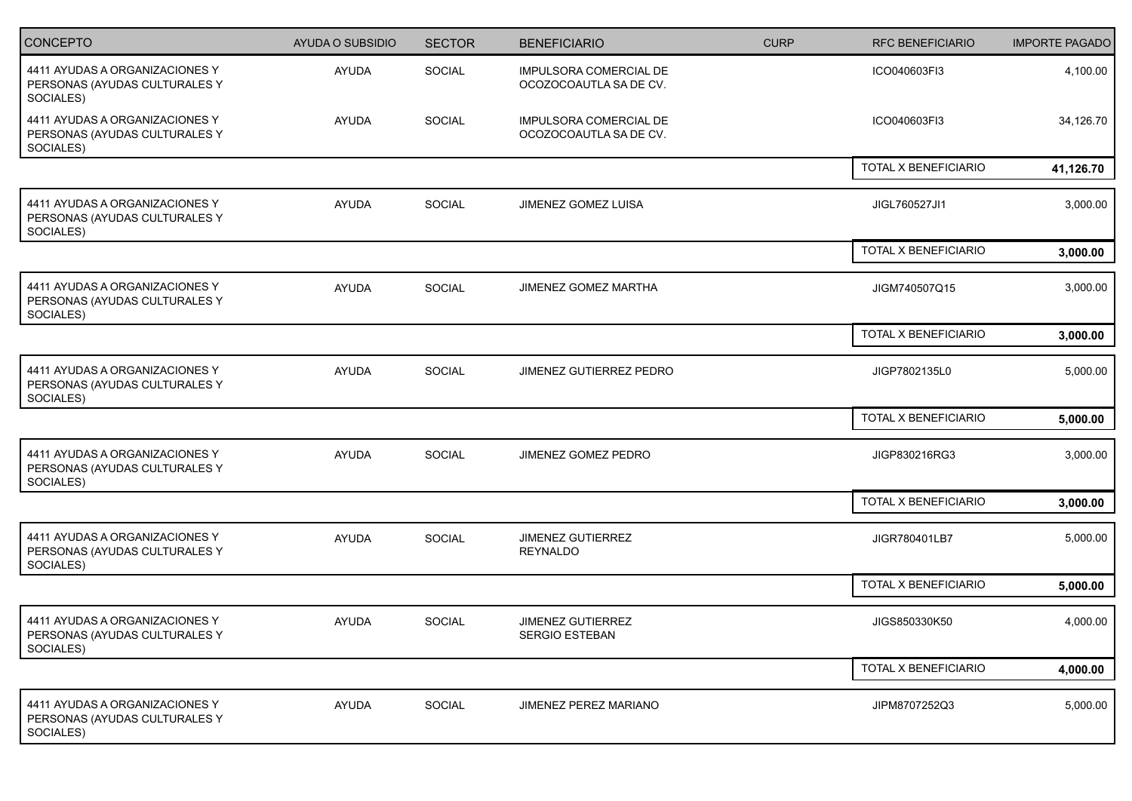| <b>CONCEPTO</b>                                                              | <b>AYUDA O SUBSIDIO</b> | <b>SECTOR</b> | <b>BENEFICIARIO</b>                              | <b>CURP</b> | <b>RFC BENEFICIARIO</b> | <b>IMPORTE PAGADO</b> |
|------------------------------------------------------------------------------|-------------------------|---------------|--------------------------------------------------|-------------|-------------------------|-----------------------|
| 4411 AYUDAS A ORGANIZACIONES Y<br>PERSONAS (AYUDAS CULTURALES Y<br>SOCIALES) | AYUDA                   | <b>SOCIAL</b> | IMPULSORA COMERCIAL DE<br>OCOZOCOAUTLA SA DE CV. |             | ICO040603FI3            | 4,100.00              |
| 4411 AYUDAS A ORGANIZACIONES Y<br>PERSONAS (AYUDAS CULTURALES Y<br>SOCIALES) | <b>AYUDA</b>            | SOCIAL        | IMPULSORA COMERCIAL DE<br>OCOZOCOAUTLA SA DE CV. |             | ICO040603FI3            | 34,126.70             |
|                                                                              |                         |               |                                                  |             | TOTAL X BENEFICIARIO    | 41,126.70             |
| 4411 AYUDAS A ORGANIZACIONES Y<br>PERSONAS (AYUDAS CULTURALES Y<br>SOCIALES) | <b>AYUDA</b>            | <b>SOCIAL</b> | JIMENEZ GOMEZ LUISA                              |             | JIGL760527JI1           | 3,000.00              |
|                                                                              |                         |               |                                                  |             | TOTAL X BENEFICIARIO    | 3,000.00              |
| 4411 AYUDAS A ORGANIZACIONES Y<br>PERSONAS (AYUDAS CULTURALES Y<br>SOCIALES) | <b>AYUDA</b>            | SOCIAL        | JIMENEZ GOMEZ MARTHA                             |             | JIGM740507Q15           | 3,000.00              |
|                                                                              |                         |               |                                                  |             | TOTAL X BENEFICIARIO    | 3,000.00              |
| 4411 AYUDAS A ORGANIZACIONES Y<br>PERSONAS (AYUDAS CULTURALES Y<br>SOCIALES) | <b>AYUDA</b>            | SOCIAL        | JIMENEZ GUTIERREZ PEDRO                          |             | JIGP7802135L0           | 5,000.00              |
|                                                                              |                         |               |                                                  |             | TOTAL X BENEFICIARIO    | 5,000.00              |
| 4411 AYUDAS A ORGANIZACIONES Y<br>PERSONAS (AYUDAS CULTURALES Y<br>SOCIALES) | <b>AYUDA</b>            | SOCIAL        | JIMENEZ GOMEZ PEDRO                              |             | JIGP830216RG3           | 3,000.00              |
|                                                                              |                         |               |                                                  |             | TOTAL X BENEFICIARIO    | 3,000.00              |
| 4411 AYUDAS A ORGANIZACIONES Y<br>PERSONAS (AYUDAS CULTURALES Y<br>SOCIALES) | <b>AYUDA</b>            | SOCIAL        | JIMENEZ GUTIERREZ<br><b>REYNALDO</b>             |             | JIGR780401LB7           | 5,000.00              |
|                                                                              |                         |               |                                                  |             | TOTAL X BENEFICIARIO    | 5,000.00              |
| 4411 AYUDAS A ORGANIZACIONES Y<br>PERSONAS (AYUDAS CULTURALES Y<br>SOCIALES) | <b>AYUDA</b>            | SOCIAL        | <b>JIMENEZ GUTIERREZ</b><br>SERGIO ESTEBAN       |             | JIGS850330K50           | 4,000.00              |
|                                                                              |                         |               |                                                  |             | TOTAL X BENEFICIARIO    | 4,000.00              |
| 4411 AYUDAS A ORGANIZACIONES Y<br>PERSONAS (AYUDAS CULTURALES Y<br>SOCIALES) | AYUDA                   | SOCIAL        | JIMENEZ PEREZ MARIANO                            |             | JIPM8707252Q3           | 5,000.00              |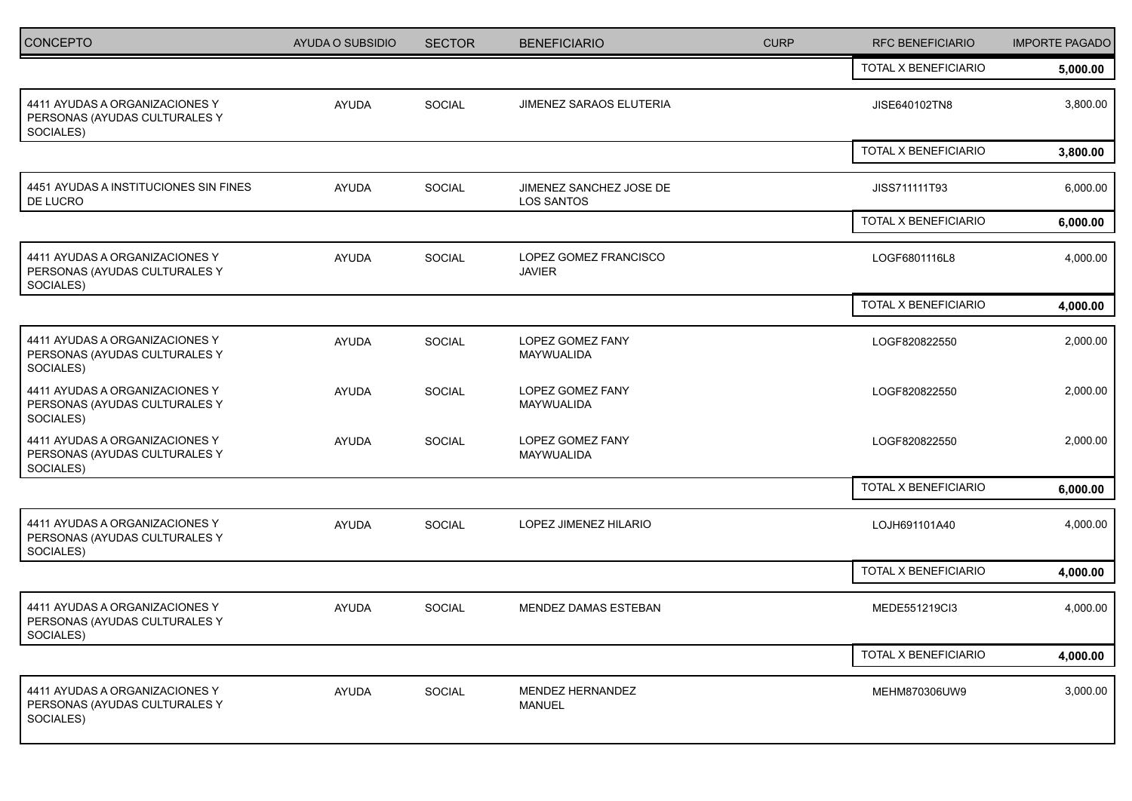| CONCEPTO                                                                     | AYUDA O SUBSIDIO | <b>SECTOR</b> | <b>BENEFICIARIO</b>                          | <b>CURP</b> | <b>RFC BENEFICIARIO</b> | <b>IMPORTE PAGADO</b> |
|------------------------------------------------------------------------------|------------------|---------------|----------------------------------------------|-------------|-------------------------|-----------------------|
|                                                                              |                  |               |                                              |             | TOTAL X BENEFICIARIO    | 5,000.00              |
| 4411 AYUDAS A ORGANIZACIONES Y<br>PERSONAS (AYUDAS CULTURALES Y<br>SOCIALES) | <b>AYUDA</b>     | <b>SOCIAL</b> | <b>JIMENEZ SARAOS ELUTERIA</b>               |             | JISE640102TN8           | 3,800.00              |
|                                                                              |                  |               |                                              |             | TOTAL X BENEFICIARIO    | 3,800.00              |
| 4451 AYUDAS A INSTITUCIONES SIN FINES<br>DE LUCRO                            | <b>AYUDA</b>     | SOCIAL        | JIMENEZ SANCHEZ JOSE DE<br><b>LOS SANTOS</b> |             | JISS711111T93           | 6,000.00              |
|                                                                              |                  |               |                                              |             | TOTAL X BENEFICIARIO    | 6,000.00              |
| 4411 AYUDAS A ORGANIZACIONES Y<br>PERSONAS (AYUDAS CULTURALES Y<br>SOCIALES) | <b>AYUDA</b>     | SOCIAL        | LOPEZ GOMEZ FRANCISCO<br><b>JAVIER</b>       |             | LOGF6801116L8           | 4,000.00              |
|                                                                              |                  |               |                                              |             | TOTAL X BENEFICIARIO    | 4,000.00              |
| 4411 AYUDAS A ORGANIZACIONES Y<br>PERSONAS (AYUDAS CULTURALES Y<br>SOCIALES) | <b>AYUDA</b>     | SOCIAL        | LOPEZ GOMEZ FANY<br>MAYWUALIDA               |             | LOGF820822550           | 2,000.00              |
| 4411 AYUDAS A ORGANIZACIONES Y<br>PERSONAS (AYUDAS CULTURALES Y<br>SOCIALES) | <b>AYUDA</b>     | SOCIAL        | LOPEZ GOMEZ FANY<br>MAYWUALIDA               |             | LOGF820822550           | 2,000.00              |
| 4411 AYUDAS A ORGANIZACIONES Y<br>PERSONAS (AYUDAS CULTURALES Y<br>SOCIALES) | <b>AYUDA</b>     | SOCIAL        | LOPEZ GOMEZ FANY<br>MAYWUALIDA               |             | LOGF820822550           | 2,000.00              |
|                                                                              |                  |               |                                              |             | TOTAL X BENEFICIARIO    | 6,000.00              |
| 4411 AYUDAS A ORGANIZACIONES Y<br>PERSONAS (AYUDAS CULTURALES Y<br>SOCIALES) | <b>AYUDA</b>     | <b>SOCIAL</b> | LOPEZ JIMENEZ HILARIO                        |             | LOJH691101A40           | 4,000.00              |
|                                                                              |                  |               |                                              |             | TOTAL X BENEFICIARIO    | 4,000.00              |
| 4411 AYUDAS A ORGANIZACIONES Y<br>PERSONAS (AYUDAS CULTURALES Y<br>SOCIALES) | <b>AYUDA</b>     | SOCIAL        | <b>MENDEZ DAMAS ESTEBAN</b>                  |             | MEDE551219Cl3           | 4,000.00              |
|                                                                              |                  |               |                                              |             | TOTAL X BENEFICIARIO    | 4,000.00              |
| 4411 AYUDAS A ORGANIZACIONES Y<br>PERSONAS (AYUDAS CULTURALES Y<br>SOCIALES) | AYUDA            | SOCIAL        | MENDEZ HERNANDEZ<br>MANUEL                   |             | MEHM870306UW9           | 3,000.00              |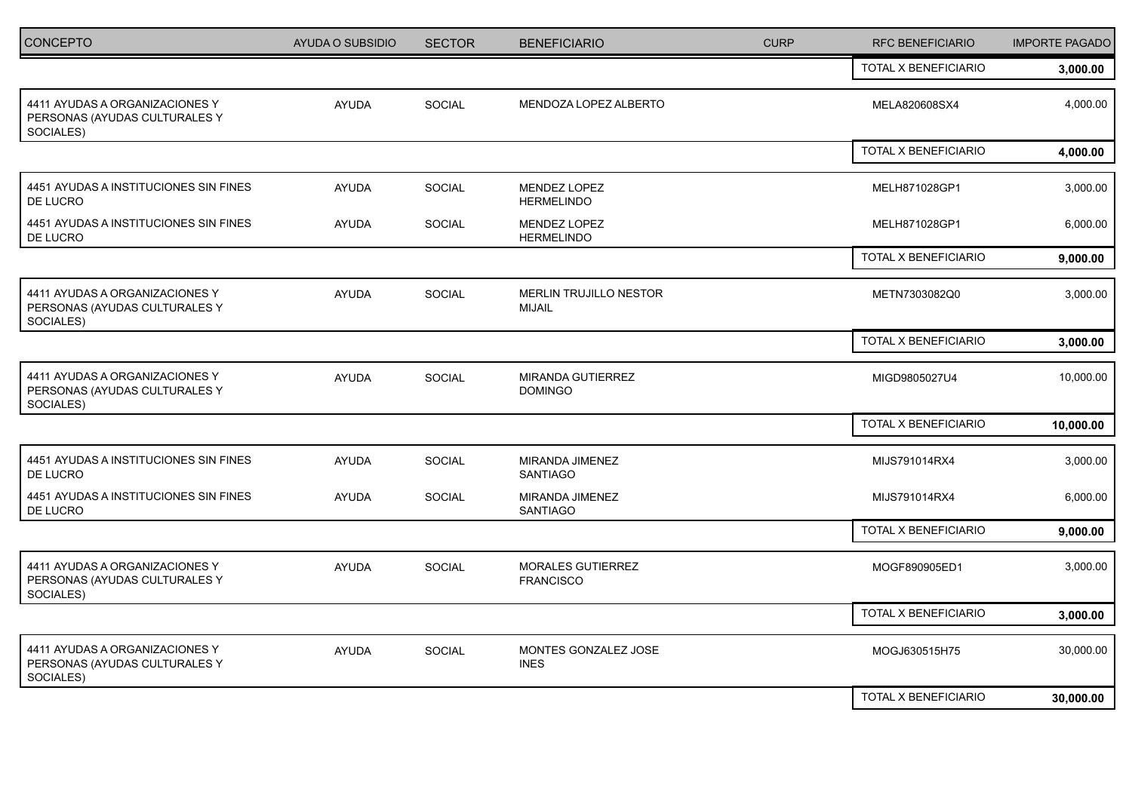| <b>CONCEPTO</b>                                                              | <b>AYUDA O SUBSIDIO</b> | <b>SECTOR</b> | <b>BENEFICIARIO</b>                        | <b>CURP</b> | <b>RFC BENEFICIARIO</b> | <b>IMPORTE PAGADO</b> |
|------------------------------------------------------------------------------|-------------------------|---------------|--------------------------------------------|-------------|-------------------------|-----------------------|
|                                                                              |                         |               |                                            |             | TOTAL X BENEFICIARIO    | 3,000.00              |
| 4411 AYUDAS A ORGANIZACIONES Y<br>PERSONAS (AYUDAS CULTURALES Y<br>SOCIALES) | <b>AYUDA</b>            | SOCIAL        | MENDOZA LOPEZ ALBERTO                      |             | MELA820608SX4           | 4,000.00              |
|                                                                              |                         |               |                                            |             | TOTAL X BENEFICIARIO    | 4,000.00              |
| 4451 AYUDAS A INSTITUCIONES SIN FINES<br>DE LUCRO                            | <b>AYUDA</b>            | <b>SOCIAL</b> | <b>MENDEZ LOPEZ</b><br><b>HERMELINDO</b>   |             | MELH871028GP1           | 3,000.00              |
| 4451 AYUDAS A INSTITUCIONES SIN FINES<br>DE LUCRO                            | <b>AYUDA</b>            | <b>SOCIAL</b> | MENDEZ LOPEZ<br><b>HERMELINDO</b>          |             | MELH871028GP1           | 6,000.00              |
|                                                                              |                         |               |                                            |             | TOTAL X BENEFICIARIO    | 9,000.00              |
| 4411 AYUDAS A ORGANIZACIONES Y<br>PERSONAS (AYUDAS CULTURALES Y<br>SOCIALES) | <b>AYUDA</b>            | SOCIAL        | MERLIN TRUJILLO NESTOR<br><b>MIJAIL</b>    |             | METN7303082Q0           | 3,000.00              |
|                                                                              |                         |               |                                            |             | TOTAL X BENEFICIARIO    | 3,000.00              |
| 4411 AYUDAS A ORGANIZACIONES Y<br>PERSONAS (AYUDAS CULTURALES Y<br>SOCIALES) | <b>AYUDA</b>            | SOCIAL        | <b>MIRANDA GUTIERREZ</b><br><b>DOMINGO</b> |             | MIGD9805027U4           | 10,000.00             |
|                                                                              |                         |               |                                            |             | TOTAL X BENEFICIARIO    | 10,000.00             |
| 4451 AYUDAS A INSTITUCIONES SIN FINES<br>DE LUCRO                            | <b>AYUDA</b>            | <b>SOCIAL</b> | MIRANDA JIMENEZ<br><b>SANTIAGO</b>         |             | MIJS791014RX4           | 3,000.00              |
| 4451 AYUDAS A INSTITUCIONES SIN FINES<br>DE LUCRO                            | <b>AYUDA</b>            | <b>SOCIAL</b> | MIRANDA JIMENEZ<br><b>SANTIAGO</b>         |             | MIJS791014RX4           | 6,000.00              |
|                                                                              |                         |               |                                            |             | TOTAL X BENEFICIARIO    | 9,000.00              |
| 4411 AYUDAS A ORGANIZACIONES Y<br>PERSONAS (AYUDAS CULTURALES Y<br>SOCIALES) | <b>AYUDA</b>            | SOCIAL        | MORALES GUTIERREZ<br><b>FRANCISCO</b>      |             | MOGF890905ED1           | 3,000.00              |
|                                                                              |                         |               |                                            |             | TOTAL X BENEFICIARIO    | 3,000.00              |
| 4411 AYUDAS A ORGANIZACIONES Y<br>PERSONAS (AYUDAS CULTURALES Y<br>SOCIALES) | <b>AYUDA</b>            | SOCIAL        | MONTES GONZALEZ JOSE<br><b>INES</b>        |             | MOGJ630515H75           | 30,000.00             |
|                                                                              |                         |               |                                            |             | TOTAL X BENEFICIARIO    | 30,000.00             |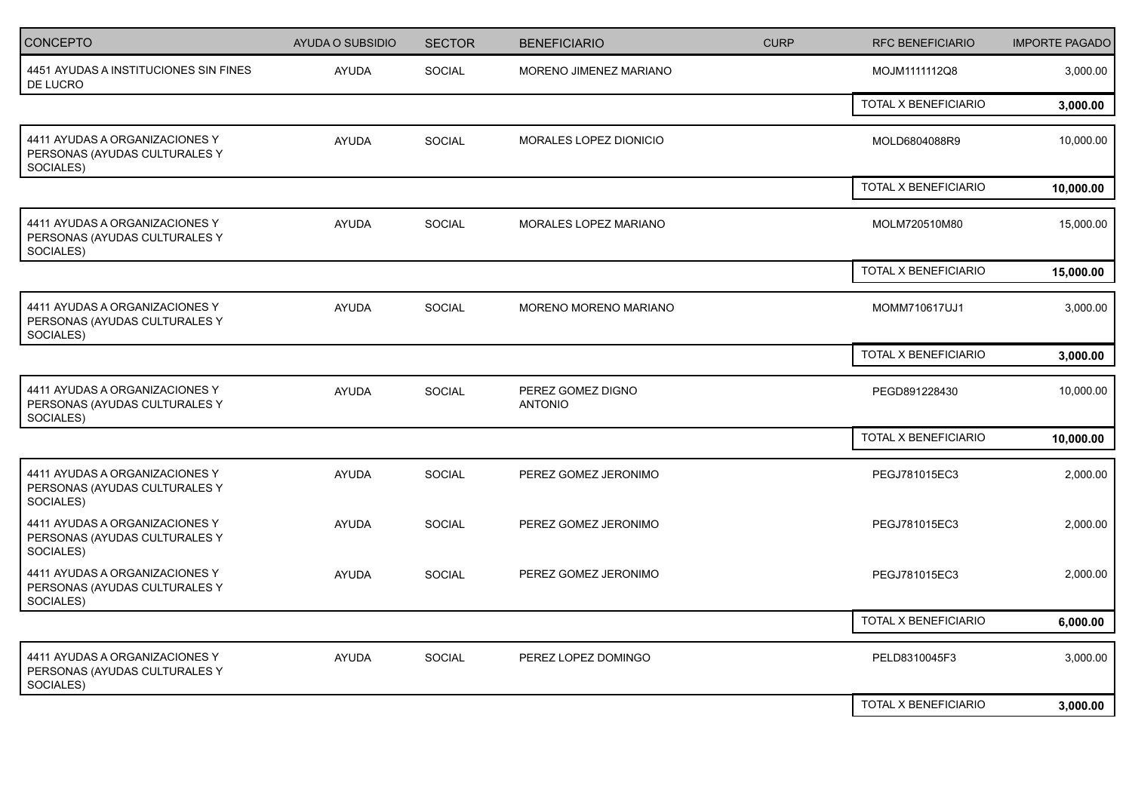| <b>AYUDA</b><br>SOCIAL<br>MORENO JIMENEZ MARIANO<br>3,000.00<br>MOJM1111112Q8<br>TOTAL X BENEFICIARIO<br>3,000.00<br>4411 AYUDAS A ORGANIZACIONES Y<br>AYUDA<br>SOCIAL<br>10,000.00<br>MORALES LOPEZ DIONICIO<br>MOLD6804088R9<br>TOTAL X BENEFICIARIO<br>10,000.00<br>MORALES LOPEZ MARIANO<br><b>AYUDA</b><br>SOCIAL<br>15,000.00<br>MOLM720510M80<br>SOCIALES)<br><b>TOTAL X BENEFICIARIO</b><br>15,000.00<br>4411 AYUDAS A ORGANIZACIONES Y<br>SOCIAL<br><b>AYUDA</b><br>MORENO MORENO MARIANO<br>MOMM710617UJ1<br>3,000.00<br>SOCIALES)<br>TOTAL X BENEFICIARIO<br>3,000.00<br>10,000.00<br>AYUDA<br>SOCIAL<br>PEREZ GOMEZ DIGNO<br>PEGD891228430<br>PERSONAS (AYUDAS CULTURALES Y<br><b>ANTONIO</b><br>SOCIALES)<br>TOTAL X BENEFICIARIO<br>10,000.00<br>SOCIAL<br>4411 AYUDAS A ORGANIZACIONES Y<br>AYUDA<br>PEREZ GOMEZ JERONIMO<br>PEGJ781015EC3<br>2,000.00<br>4411 AYUDAS A ORGANIZACIONES Y<br><b>AYUDA</b><br>SOCIAL<br>2,000.00<br>PEREZ GOMEZ JERONIMO<br>PEGJ781015EC3<br>4411 AYUDAS A ORGANIZACIONES Y<br><b>AYUDA</b><br>SOCIAL<br>PEREZ GOMEZ JERONIMO<br>2,000.00<br>PEGJ781015EC3<br>PERSONAS (AYUDAS CULTURALES Y<br>TOTAL X BENEFICIARIO<br>6,000.00<br>4411 AYUDAS A ORGANIZACIONES Y<br><b>AYUDA</b><br>SOCIAL<br>3,000.00<br>PEREZ LOPEZ DOMINGO<br>PELD8310045F3<br>SOCIALES)<br>TOTAL X BENEFICIARIO<br>3,000.00 | <b>CONCEPTO</b>                                                 | <b>AYUDA O SUBSIDIO</b> | <b>SECTOR</b> | <b>BENEFICIARIO</b> | <b>CURP</b> | <b>RFC BENEFICIARIO</b> | <b>IMPORTE PAGADO</b> |
|-----------------------------------------------------------------------------------------------------------------------------------------------------------------------------------------------------------------------------------------------------------------------------------------------------------------------------------------------------------------------------------------------------------------------------------------------------------------------------------------------------------------------------------------------------------------------------------------------------------------------------------------------------------------------------------------------------------------------------------------------------------------------------------------------------------------------------------------------------------------------------------------------------------------------------------------------------------------------------------------------------------------------------------------------------------------------------------------------------------------------------------------------------------------------------------------------------------------------------------------------------------------------------------------------------------------------------------------------|-----------------------------------------------------------------|-------------------------|---------------|---------------------|-------------|-------------------------|-----------------------|
|                                                                                                                                                                                                                                                                                                                                                                                                                                                                                                                                                                                                                                                                                                                                                                                                                                                                                                                                                                                                                                                                                                                                                                                                                                                                                                                                               | 4451 AYUDAS A INSTITUCIONES SIN FINES<br>DE LUCRO               |                         |               |                     |             |                         |                       |
|                                                                                                                                                                                                                                                                                                                                                                                                                                                                                                                                                                                                                                                                                                                                                                                                                                                                                                                                                                                                                                                                                                                                                                                                                                                                                                                                               |                                                                 |                         |               |                     |             |                         |                       |
|                                                                                                                                                                                                                                                                                                                                                                                                                                                                                                                                                                                                                                                                                                                                                                                                                                                                                                                                                                                                                                                                                                                                                                                                                                                                                                                                               | PERSONAS (AYUDAS CULTURALES Y<br>SOCIALES)                      |                         |               |                     |             |                         |                       |
|                                                                                                                                                                                                                                                                                                                                                                                                                                                                                                                                                                                                                                                                                                                                                                                                                                                                                                                                                                                                                                                                                                                                                                                                                                                                                                                                               |                                                                 |                         |               |                     |             |                         |                       |
|                                                                                                                                                                                                                                                                                                                                                                                                                                                                                                                                                                                                                                                                                                                                                                                                                                                                                                                                                                                                                                                                                                                                                                                                                                                                                                                                               | 4411 AYUDAS A ORGANIZACIONES Y<br>PERSONAS (AYUDAS CULTURALES Y |                         |               |                     |             |                         |                       |
|                                                                                                                                                                                                                                                                                                                                                                                                                                                                                                                                                                                                                                                                                                                                                                                                                                                                                                                                                                                                                                                                                                                                                                                                                                                                                                                                               |                                                                 |                         |               |                     |             |                         |                       |
|                                                                                                                                                                                                                                                                                                                                                                                                                                                                                                                                                                                                                                                                                                                                                                                                                                                                                                                                                                                                                                                                                                                                                                                                                                                                                                                                               | PERSONAS (AYUDAS CULTURALES Y                                   |                         |               |                     |             |                         |                       |
|                                                                                                                                                                                                                                                                                                                                                                                                                                                                                                                                                                                                                                                                                                                                                                                                                                                                                                                                                                                                                                                                                                                                                                                                                                                                                                                                               |                                                                 |                         |               |                     |             |                         |                       |
|                                                                                                                                                                                                                                                                                                                                                                                                                                                                                                                                                                                                                                                                                                                                                                                                                                                                                                                                                                                                                                                                                                                                                                                                                                                                                                                                               | 4411 AYUDAS A ORGANIZACIONES Y                                  |                         |               |                     |             |                         |                       |
|                                                                                                                                                                                                                                                                                                                                                                                                                                                                                                                                                                                                                                                                                                                                                                                                                                                                                                                                                                                                                                                                                                                                                                                                                                                                                                                                               |                                                                 |                         |               |                     |             |                         |                       |
|                                                                                                                                                                                                                                                                                                                                                                                                                                                                                                                                                                                                                                                                                                                                                                                                                                                                                                                                                                                                                                                                                                                                                                                                                                                                                                                                               | PERSONAS (AYUDAS CULTURALES Y<br>SOCIALES)                      |                         |               |                     |             |                         |                       |
|                                                                                                                                                                                                                                                                                                                                                                                                                                                                                                                                                                                                                                                                                                                                                                                                                                                                                                                                                                                                                                                                                                                                                                                                                                                                                                                                               | PERSONAS (AYUDAS CULTURALES Y<br>SOCIALES)                      |                         |               |                     |             |                         |                       |
|                                                                                                                                                                                                                                                                                                                                                                                                                                                                                                                                                                                                                                                                                                                                                                                                                                                                                                                                                                                                                                                                                                                                                                                                                                                                                                                                               | SOCIALES)                                                       |                         |               |                     |             |                         |                       |
|                                                                                                                                                                                                                                                                                                                                                                                                                                                                                                                                                                                                                                                                                                                                                                                                                                                                                                                                                                                                                                                                                                                                                                                                                                                                                                                                               |                                                                 |                         |               |                     |             |                         |                       |
|                                                                                                                                                                                                                                                                                                                                                                                                                                                                                                                                                                                                                                                                                                                                                                                                                                                                                                                                                                                                                                                                                                                                                                                                                                                                                                                                               | PERSONAS (AYUDAS CULTURALES Y                                   |                         |               |                     |             |                         |                       |
|                                                                                                                                                                                                                                                                                                                                                                                                                                                                                                                                                                                                                                                                                                                                                                                                                                                                                                                                                                                                                                                                                                                                                                                                                                                                                                                                               |                                                                 |                         |               |                     |             |                         |                       |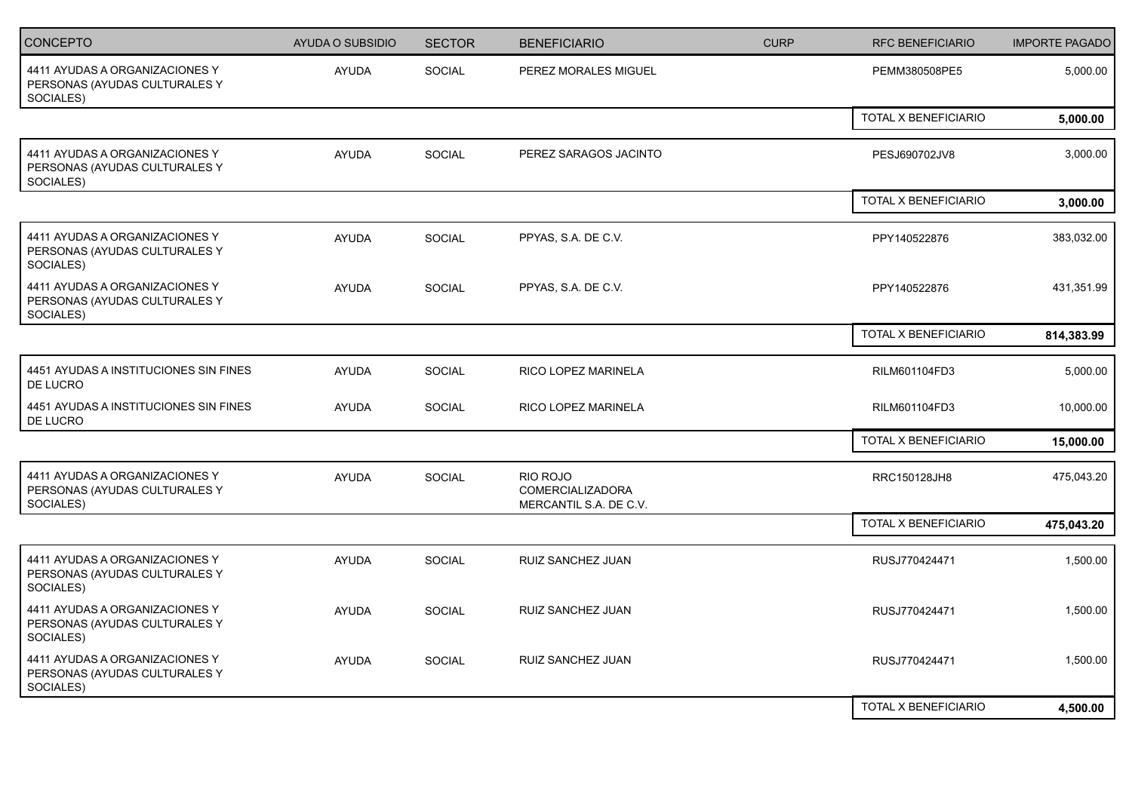| <b>CONCEPTO</b>                                                              | <b>AYUDA O SUBSIDIO</b> | <b>SECTOR</b> | <b>BENEFICIARIO</b>                                           | <b>CURP</b> | <b>RFC BENEFICIARIO</b> | <b>IMPORTE PAGADO</b> |
|------------------------------------------------------------------------------|-------------------------|---------------|---------------------------------------------------------------|-------------|-------------------------|-----------------------|
| 4411 AYUDAS A ORGANIZACIONES Y<br>PERSONAS (AYUDAS CULTURALES Y<br>SOCIALES) | <b>AYUDA</b>            | <b>SOCIAL</b> | PEREZ MORALES MIGUEL                                          |             | PEMM380508PE5           | 5,000.00              |
|                                                                              |                         |               |                                                               |             | TOTAL X BENEFICIARIO    | 5,000.00              |
| 4411 AYUDAS A ORGANIZACIONES Y<br>PERSONAS (AYUDAS CULTURALES Y<br>SOCIALES) | <b>AYUDA</b>            | SOCIAL        | PEREZ SARAGOS JACINTO                                         |             | PESJ690702JV8           | 3,000.00              |
|                                                                              |                         |               |                                                               |             | TOTAL X BENEFICIARIO    | 3,000.00              |
| 4411 AYUDAS A ORGANIZACIONES Y<br>PERSONAS (AYUDAS CULTURALES Y<br>SOCIALES) | <b>AYUDA</b>            | SOCIAL        | PPYAS, S.A. DE C.V.                                           |             | PPY140522876            | 383,032.00            |
| 4411 AYUDAS A ORGANIZACIONES Y<br>PERSONAS (AYUDAS CULTURALES Y<br>SOCIALES) | <b>AYUDA</b>            | SOCIAL        | PPYAS, S.A. DE C.V.                                           |             | PPY140522876            | 431,351.99            |
|                                                                              |                         |               |                                                               |             | TOTAL X BENEFICIARIO    | 814,383.99            |
| 4451 AYUDAS A INSTITUCIONES SIN FINES<br>DE LUCRO                            | AYUDA                   | SOCIAL        | RICO LOPEZ MARINELA                                           |             | RILM601104FD3           | 5,000.00              |
| 4451 AYUDAS A INSTITUCIONES SIN FINES<br>DE LUCRO                            | <b>AYUDA</b>            | SOCIAL        | RICO LOPEZ MARINELA                                           |             | RILM601104FD3           | 10,000.00             |
|                                                                              |                         |               |                                                               |             | TOTAL X BENEFICIARIO    | 15,000.00             |
| 4411 AYUDAS A ORGANIZACIONES Y<br>PERSONAS (AYUDAS CULTURALES Y<br>SOCIALES) | <b>AYUDA</b>            | <b>SOCIAL</b> | RIO ROJO<br><b>COMERCIALIZADORA</b><br>MERCANTIL S.A. DE C.V. |             | RRC150128JH8            | 475,043.20            |
|                                                                              |                         |               |                                                               |             | TOTAL X BENEFICIARIO    | 475,043.20            |
| 4411 AYUDAS A ORGANIZACIONES Y<br>PERSONAS (AYUDAS CULTURALES Y<br>SOCIALES) | <b>AYUDA</b>            | <b>SOCIAL</b> | RUIZ SANCHEZ JUAN                                             |             | RUSJ770424471           | 1,500.00              |
| 4411 AYUDAS A ORGANIZACIONES Y<br>PERSONAS (AYUDAS CULTURALES Y<br>SOCIALES) | <b>AYUDA</b>            | <b>SOCIAL</b> | RUIZ SANCHEZ JUAN                                             |             | RUSJ770424471           | 1,500.00              |
| 4411 AYUDAS A ORGANIZACIONES Y<br>PERSONAS (AYUDAS CULTURALES Y<br>SOCIALES) | <b>AYUDA</b>            | SOCIAL        | RUIZ SANCHEZ JUAN                                             |             | RUSJ770424471           | 1,500.00              |
|                                                                              |                         |               |                                                               |             | TOTAL X BENEFICIARIO    | 4,500.00              |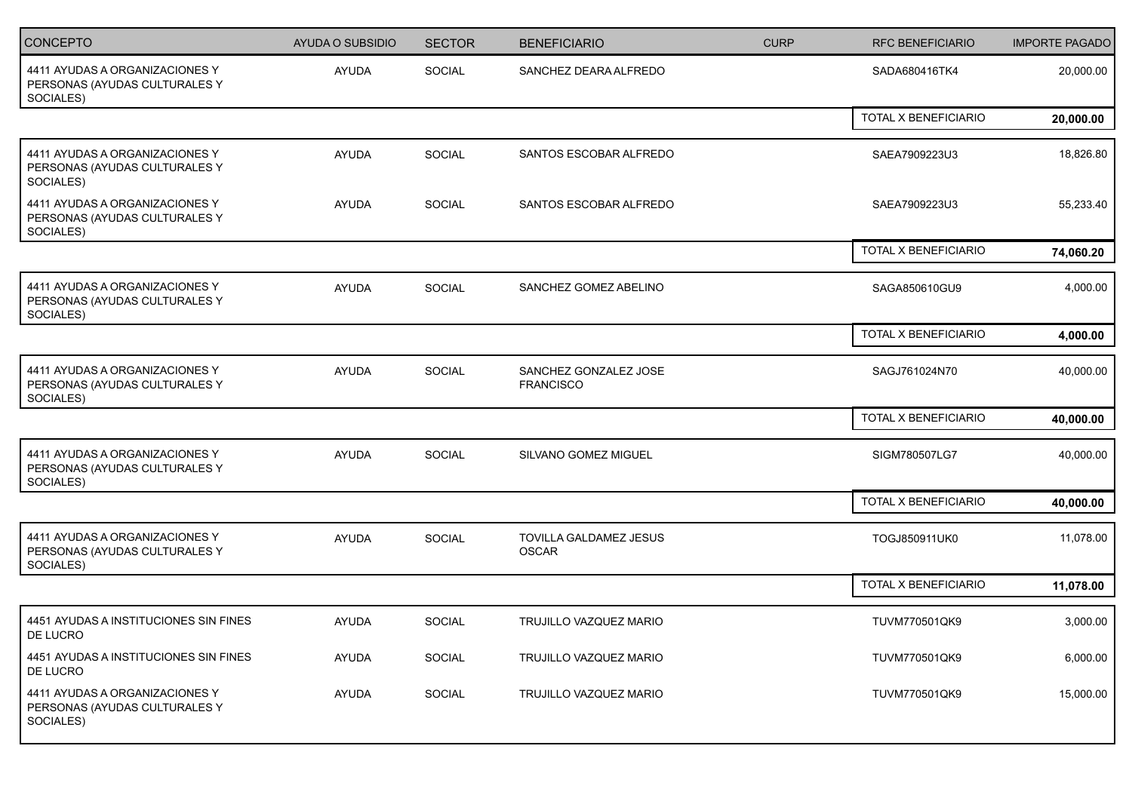| <b>CONCEPTO</b>                                                              | AYUDA O SUBSIDIO | <b>SECTOR</b> | <b>BENEFICIARIO</b>                       | <b>CURP</b> | <b>RFC BENEFICIARIO</b> | <b>IMPORTE PAGADO</b> |
|------------------------------------------------------------------------------|------------------|---------------|-------------------------------------------|-------------|-------------------------|-----------------------|
| 4411 AYUDAS A ORGANIZACIONES Y<br>PERSONAS (AYUDAS CULTURALES Y<br>SOCIALES) | <b>AYUDA</b>     | SOCIAL        | SANCHEZ DEARA ALFREDO                     |             | SADA680416TK4           | 20,000.00             |
|                                                                              |                  |               |                                           |             | TOTAL X BENEFICIARIO    | 20,000.00             |
| 4411 AYUDAS A ORGANIZACIONES Y<br>PERSONAS (AYUDAS CULTURALES Y<br>SOCIALES) | <b>AYUDA</b>     | SOCIAL        | SANTOS ESCOBAR ALFREDO                    |             | SAEA7909223U3           | 18,826.80             |
| 4411 AYUDAS A ORGANIZACIONES Y<br>PERSONAS (AYUDAS CULTURALES Y<br>SOCIALES) | <b>AYUDA</b>     | SOCIAL        | SANTOS ESCOBAR ALFREDO                    |             | SAEA7909223U3           | 55,233.40             |
|                                                                              |                  |               |                                           |             | TOTAL X BENEFICIARIO    | 74,060.20             |
| 4411 AYUDAS A ORGANIZACIONES Y<br>PERSONAS (AYUDAS CULTURALES Y<br>SOCIALES) | <b>AYUDA</b>     | SOCIAL        | SANCHEZ GOMEZ ABELINO                     |             | SAGA850610GU9           | 4,000.00              |
|                                                                              |                  |               |                                           |             | TOTAL X BENEFICIARIO    | 4,000.00              |
| 4411 AYUDAS A ORGANIZACIONES Y<br>PERSONAS (AYUDAS CULTURALES Y<br>SOCIALES) | <b>AYUDA</b>     | SOCIAL        | SANCHEZ GONZALEZ JOSE<br><b>FRANCISCO</b> |             | SAGJ761024N70           | 40,000.00             |
|                                                                              |                  |               |                                           |             | TOTAL X BENEFICIARIO    | 40,000.00             |
| 4411 AYUDAS A ORGANIZACIONES Y<br>PERSONAS (AYUDAS CULTURALES Y<br>SOCIALES) | <b>AYUDA</b>     | <b>SOCIAL</b> | SILVANO GOMEZ MIGUEL                      |             | SIGM780507LG7           | 40,000.00             |
|                                                                              |                  |               |                                           |             | TOTAL X BENEFICIARIO    | 40,000.00             |
| 4411 AYUDAS A ORGANIZACIONES Y<br>PERSONAS (AYUDAS CULTURALES Y<br>SOCIALES) | AYUDA            | SOCIAL        | TOVILLA GALDAMEZ JESUS<br><b>OSCAR</b>    |             | TOGJ850911UK0           | 11,078.00             |
|                                                                              |                  |               |                                           |             | TOTAL X BENEFICIARIO    | 11,078.00             |
| 4451 AYUDAS A INSTITUCIONES SIN FINES<br>DE LUCRO                            | <b>AYUDA</b>     | <b>SOCIAL</b> | TRUJILLO VAZQUEZ MARIO                    |             | TUVM770501QK9           | 3,000.00              |
| 4451 AYUDAS A INSTITUCIONES SIN FINES<br>DE LUCRO                            | AYUDA            | SOCIAL        | TRUJILLO VAZQUEZ MARIO                    |             | TUVM770501QK9           | 6,000.00              |
| 4411 AYUDAS A ORGANIZACIONES Y<br>PERSONAS (AYUDAS CULTURALES Y<br>SOCIALES) | AYUDA            | SOCIAL        | TRUJILLO VAZQUEZ MARIO                    |             | TUVM770501QK9           | 15,000.00             |